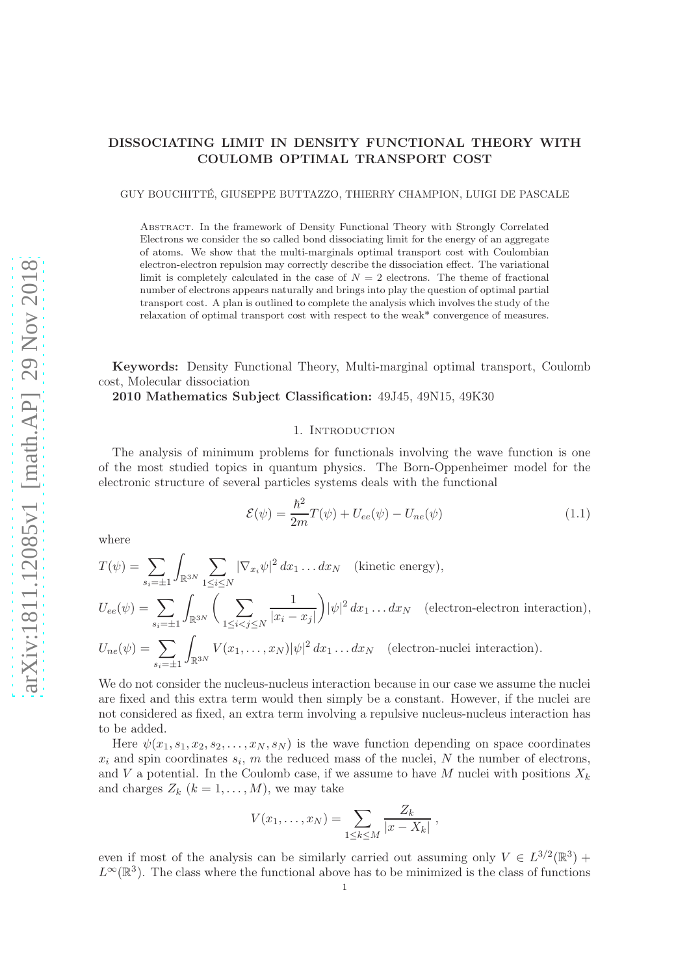# DISSOCIATING LIMIT IN DENSITY FUNCTIONAL THEORY WITH COULOMB OPTIMAL TRANSPORT COST

GUY BOUCHITTÉ, GIUSEPPE BUTTAZZO, THIERRY CHAMPION, LUIGI DE PASCALE

Abstract. In the framework of Density Functional Theory with Strongly Correlated Electrons we consider the so called bond dissociating limit for the energy of an aggregate of atoms. We show that the multi-marginals optimal transport cost with Coulombian electron-electron repulsion may correctly describe the dissociation effect. The variational limit is completely calculated in the case of  $N = 2$  electrons. The theme of fractional number of electrons appears naturally and brings into play the question of optimal partial transport cost. A plan is outlined to complete the analysis which involves the study of the relaxation of optimal transport cost with respect to the weak\* convergence of measures.

Keywords: Density Functional Theory, Multi-marginal optimal transport, Coulomb cost, Molecular dissociation

2010 Mathematics Subject Classification: 49J45, 49N15, 49K30

### 1. INTRODUCTION

The analysis of minimum problems for functionals involving the wave function is one of the most studied topics in quantum physics. The Born-Oppenheimer model for the electronic structure of several particles systems deals with the functional

$$
\mathcal{E}(\psi) = \frac{\hbar^2}{2m}T(\psi) + U_{ee}(\psi) - U_{ne}(\psi)
$$
\n(1.1)

where

$$
T(\psi) = \sum_{s_i=\pm 1} \int_{\mathbb{R}^{3N}} \sum_{1 \le i \le N} |\nabla_{x_i} \psi|^2 dx_1 \dots dx_N \quad \text{(kinetic energy)},
$$
  

$$
U_{ee}(\psi) = \sum_{s_i=\pm 1} \int_{\mathbb{R}^{3N}} \left( \sum_{1 \le i < j \le N} \frac{1}{|x_i - x_j|} \right) |\psi|^2 dx_1 \dots dx_N \quad \text{(electron-electron interaction)},
$$

$$
U_{ne}(\psi) = \sum_{s_i = \pm 1} \int_{\mathbb{R}^{3N}} V(x_1, \dots, x_N) |\psi|^2 dx_1 \dots dx_N \quad \text{(electron-nuclei interaction)}.
$$

We do not consider the nucleus-nucleus interaction because in our case we assume the nuclei are fixed and this extra term would then simply be a constant. However, if the nuclei are not considered as fixed, an extra term involving a repulsive nucleus-nucleus interaction has to be added.

Here  $\psi(x_1, s_1, x_2, s_2, \ldots, x_N, s_N)$  is the wave function depending on space coordinates  $x_i$  and spin coordinates  $s_i$ , m the reduced mass of the nuclei, N the number of electrons, and V a potential. In the Coulomb case, if we assume to have M nuclei with positions  $X_k$ and charges  $Z_k$   $(k = 1, ..., M)$ , we may take

$$
V(x_1,\ldots,x_N)=\sum_{1\leq k\leq M}\frac{Z_k}{|x-X_k|},
$$

even if most of the analysis can be similarly carried out assuming only  $V \in L^{3/2}(\mathbb{R}^3)$  +  $L^{\infty}(\mathbb{R}^{3})$ . The class where the functional above has to be minimized is the class of functions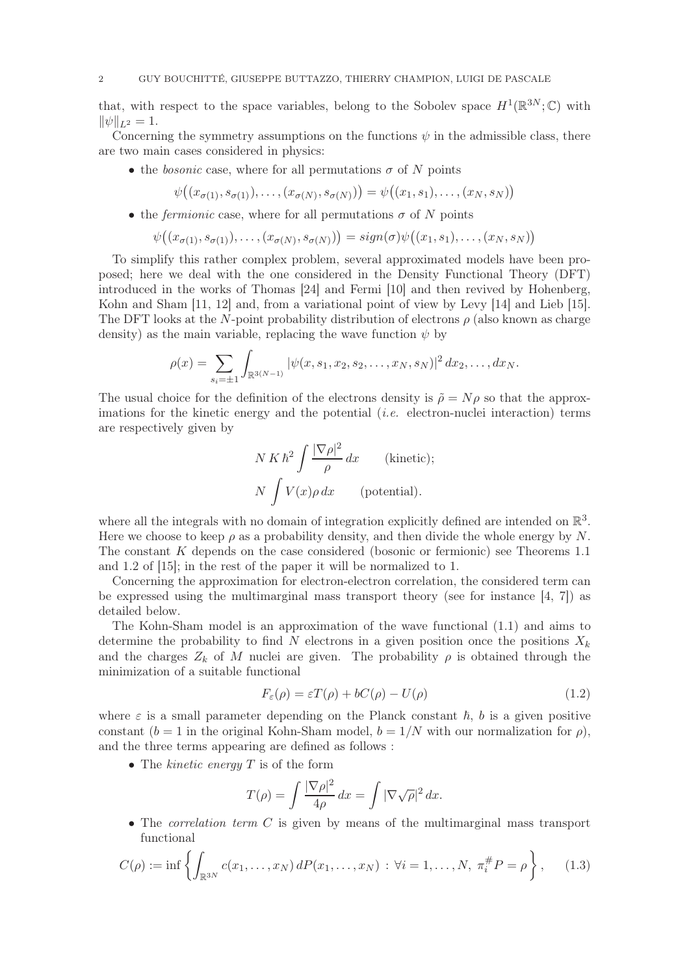that, with respect to the space variables, belong to the Sobolev space  $H^1(\mathbb{R}^{3N}; \mathbb{C})$  with  $\|\psi\|_{L^2} = 1.$ 

Concerning the symmetry assumptions on the functions  $\psi$  in the admissible class, there are two main cases considered in physics:

• the *bosonic* case, where for all permutations  $\sigma$  of N points

$$
\psi((x_{\sigma(1)},s_{\sigma(1)}),\ldots,(x_{\sigma(N)},s_{\sigma(N)}))=\psi((x_1,s_1),\ldots,(x_N,s_N))
$$

• the *fermionic* case, where for all permutations  $\sigma$  of N points

$$
\psi((x_{\sigma(1)}, s_{\sigma(1)}), \ldots, (x_{\sigma(N)}, s_{\sigma(N)})) = sign(\sigma)\psi((x_1, s_1), \ldots, (x_N, s_N))
$$

To simplify this rather complex problem, several approximated models have been proposed; here we deal with the one considered in the Density Functional Theory (DFT) introduced in the works of Thomas [24] and Fermi [10] and then revived by Hohenberg, Kohn and Sham [11, 12] and, from a variational point of view by Levy [14] and Lieb [15]. The DFT looks at the N-point probability distribution of electrons  $\rho$  (also known as charge density) as the main variable, replacing the wave function  $\psi$  by

$$
\rho(x) = \sum_{s_i = \pm 1} \int_{\mathbb{R}^{3(N-1)}} |\psi(x, s_1, x_2, s_2, \dots, x_N, s_N)|^2 dx_2, \dots, dx_N.
$$

The usual choice for the definition of the electrons density is  $\tilde{\rho} = N\rho$  so that the approximations for the kinetic energy and the potential  $(i.e.$  electron-nuclei interaction) terms are respectively given by

$$
N K \hbar^2 \int \frac{|\nabla \rho|^2}{\rho} dx \qquad \text{(kinetic)};
$$
  

$$
N \int V(x) \rho dx \qquad \text{(potential)}.
$$

where all the integrals with no domain of integration explicitly defined are intended on  $\mathbb{R}^3$ . Here we choose to keep  $\rho$  as a probability density, and then divide the whole energy by N. The constant K depends on the case considered (bosonic or fermionic) see Theorems 1.1 and 1.2 of [15]; in the rest of the paper it will be normalized to 1.

Concerning the approximation for electron-electron correlation, the considered term can be expressed using the multimarginal mass transport theory (see for instance  $[4, 7]$ ) as detailed below.

The Kohn-Sham model is an approximation of the wave functional (1.1) and aims to determine the probability to find N electrons in a given position once the positions  $X_k$ and the charges  $Z_k$  of M nuclei are given. The probability  $\rho$  is obtained through the minimization of a suitable functional

$$
F_{\varepsilon}(\rho) = \varepsilon T(\rho) + bC(\rho) - U(\rho)
$$
\n(1.2)

where  $\varepsilon$  is a small parameter depending on the Planck constant  $h$ , b is a given positive constant  $(b = 1$  in the original Kohn-Sham model,  $b = 1/N$  with our normalization for  $\rho$ , and the three terms appearing are defined as follows :

• The *kinetic energy*  $T$  is of the form

$$
T(\rho) = \int \frac{|\nabla \rho|^2}{4\rho} dx = \int |\nabla \sqrt{\rho}|^2 dx.
$$

• The *correlation term C* is given by means of the multimarginal mass transport functional

$$
C(\rho) := \inf \left\{ \int_{\mathbb{R}^{3N}} c(x_1, \dots, x_N) dP(x_1, \dots, x_N) : \forall i = 1, \dots, N, \ \pi_i^{\#} P = \rho \right\}, \tag{1.3}
$$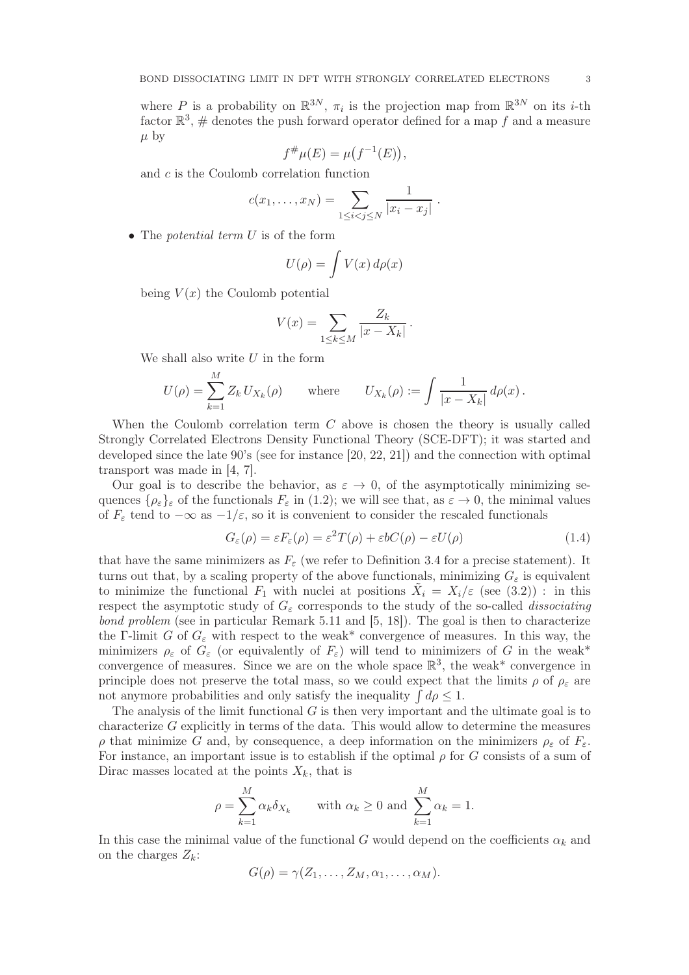where P is a probability on  $\mathbb{R}^{3N}$ ,  $\pi_i$  is the projection map from  $\mathbb{R}^{3N}$  on its *i*-th factor  $\mathbb{R}^3$ , # denotes the push forward operator defined for a map f and a measure  $\mu$  by

$$
f^{\#}\mu(E) = \mu(f^{-1}(E)),
$$

and c is the Coulomb correlation function

$$
c(x_1,...,x_N) = \sum_{1 \leq i < j \leq N} \frac{1}{|x_i - x_j|} \, .
$$

• The *potential term U* is of the form

$$
U(\rho) = \int V(x) \, d\rho(x)
$$

being  $V(x)$  the Coulomb potential

$$
V(x) = \sum_{1 \leq k \leq M} \frac{Z_k}{|x - X_k|}.
$$

We shall also write  $U$  in the form

$$
U(\rho) = \sum_{k=1}^{M} Z_k U_{X_k}(\rho) \quad \text{where} \quad U_{X_k}(\rho) := \int \frac{1}{|x - X_k|} d\rho(x) \,.
$$

When the Coulomb correlation term C above is chosen the theory is usually called Strongly Correlated Electrons Density Functional Theory (SCE-DFT); it was started and developed since the late 90's (see for instance [20, 22, 21]) and the connection with optimal transport was made in [4, 7].

Our goal is to describe the behavior, as  $\varepsilon \to 0$ , of the asymptotically minimizing sequences  $\{\rho_{\varepsilon}\}_\varepsilon$  of the functionals  $F_{\varepsilon}$  in (1.2); we will see that, as  $\varepsilon \to 0$ , the minimal values of  $F_{\varepsilon}$  tend to  $-\infty$  as  $-1/\varepsilon$ , so it is convenient to consider the rescaled functionals

$$
G_{\varepsilon}(\rho) = \varepsilon F_{\varepsilon}(\rho) = \varepsilon^2 T(\rho) + \varepsilon b C(\rho) - \varepsilon U(\rho)
$$
\n(1.4)

that have the same minimizers as  $F_{\varepsilon}$  (we refer to Definition 3.4 for a precise statement). It turns out that, by a scaling property of the above functionals, minimizing  $G_{\varepsilon}$  is equivalent to minimize the functional  $F_1$  with nuclei at positions  $\tilde{X}_i = X_i/\varepsilon$  (see (3.2)): in this respect the asymptotic study of  $G_{\varepsilon}$  corresponds to the study of the so-called *dissociating* bond problem (see in particular Remark 5.11 and [5, 18]). The goal is then to characterize the Γ-limit G of  $G_{\varepsilon}$  with respect to the weak\* convergence of measures. In this way, the minimizers  $\rho_{\varepsilon}$  of  $G_{\varepsilon}$  (or equivalently of  $F_{\varepsilon}$ ) will tend to minimizers of G in the weak\* convergence of measures. Since we are on the whole space  $\mathbb{R}^3$ , the weak\* convergence in principle does not preserve the total mass, so we could expect that the limits  $\rho$  of  $\rho_{\varepsilon}$  are not anymore probabilities and only satisfy the inequality  $\int d\rho \leq 1$ .

The analysis of the limit functional  $G$  is then very important and the ultimate goal is to characterize  $G$  explicitly in terms of the data. This would allow to determine the measures  $ρ$  that minimize G and, by consequence, a deep information on the minimizers  $ρ_ε$  of  $F_ε$ . For instance, an important issue is to establish if the optimal  $\rho$  for G consists of a sum of Dirac masses located at the points  $X_k$ , that is

$$
\rho = \sum_{k=1}^{M} \alpha_k \delta_{X_k} \quad \text{with } \alpha_k \ge 0 \text{ and } \sum_{k=1}^{M} \alpha_k = 1.
$$

In this case the minimal value of the functional G would depend on the coefficients  $\alpha_k$  and on the charges  $Z_k$ :

$$
G(\rho) = \gamma(Z_1, \ldots, Z_M, \alpha_1, \ldots, \alpha_M).
$$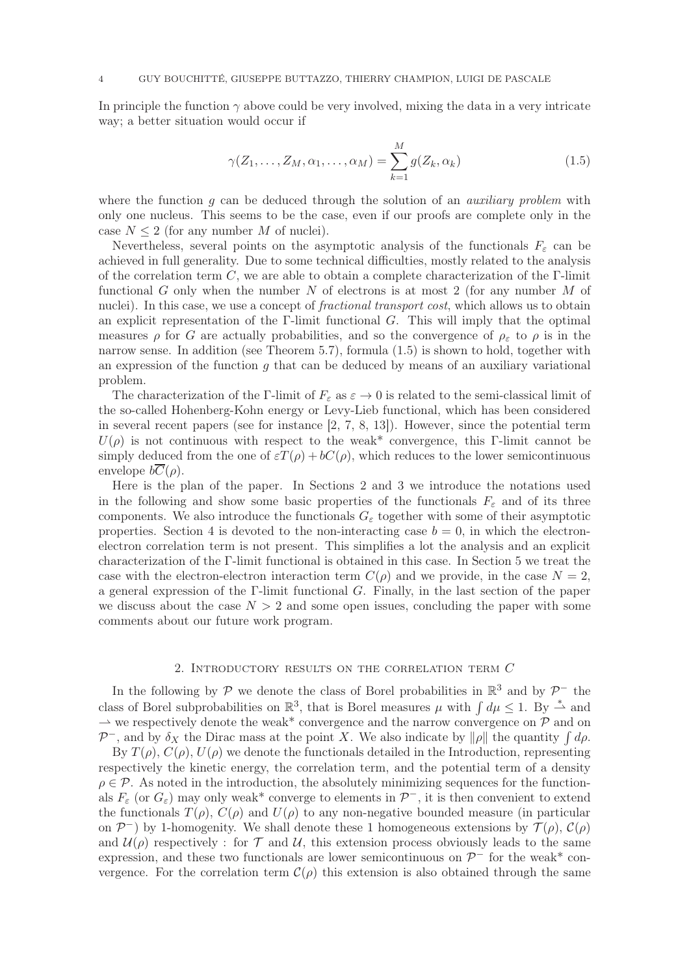In principle the function  $\gamma$  above could be very involved, mixing the data in a very intricate way; a better situation would occur if

$$
\gamma(Z_1,\ldots,Z_M,\alpha_1,\ldots,\alpha_M) = \sum_{k=1}^M g(Z_k,\alpha_k)
$$
\n(1.5)

where the function q can be deduced through the solution of an *auxiliary problem* with only one nucleus. This seems to be the case, even if our proofs are complete only in the case  $N \leq 2$  (for any number M of nuclei).

Nevertheless, several points on the asymptotic analysis of the functionals  $F_{\varepsilon}$  can be achieved in full generality. Due to some technical difficulties, mostly related to the analysis of the correlation term C, we are able to obtain a complete characterization of the  $\Gamma$ -limit functional G only when the number N of electrons is at most 2 (for any number  $M$  of nuclei). In this case, we use a concept of *fractional transport cost*, which allows us to obtain an explicit representation of the  $\Gamma$ -limit functional G. This will imply that the optimal measures  $\rho$  for G are actually probabilities, and so the convergence of  $\rho_{\varepsilon}$  to  $\rho$  is in the narrow sense. In addition (see Theorem 5.7), formula (1.5) is shown to hold, together with an expression of the function q that can be deduced by means of an auxiliary variational problem.

The characterization of the Γ-limit of  $F_{\varepsilon}$  as  $\varepsilon \to 0$  is related to the semi-classical limit of the so-called Hohenberg-Kohn energy or Levy-Lieb functional, which has been considered in several recent papers (see for instance [2, 7, 8, 13]). However, since the potential term  $U(\rho)$  is not continuous with respect to the weak<sup>\*</sup> convergence, this Γ-limit cannot be simply deduced from the one of  $\epsilon T(\rho) + bC(\rho)$ , which reduces to the lower semicontinuous envelope  $b\overline{C}(\rho)$ .

Here is the plan of the paper. In Sections 2 and 3 we introduce the notations used in the following and show some basic properties of the functionals  $F_{\varepsilon}$  and of its three components. We also introduce the functionals  $G_{\varepsilon}$  together with some of their asymptotic properties. Section 4 is devoted to the non-interacting case  $b = 0$ , in which the electronelectron correlation term is not present. This simplifies a lot the analysis and an explicit characterization of the Γ-limit functional is obtained in this case. In Section 5 we treat the case with the electron-electron interaction term  $C(\rho)$  and we provide, in the case  $N=2$ , a general expression of the Γ-limit functional  $G$ . Finally, in the last section of the paper we discuss about the case  $N > 2$  and some open issues, concluding the paper with some comments about our future work program.

# 2. Introductory results on the correlation term C

In the following by  $\mathcal P$  we denote the class of Borel probabilities in  $\mathbb R^3$  and by  $\mathcal P^-$  the class of Borel subprobabilities on  $\mathbb{R}^3$ , that is Borel measures  $\mu$  with  $\int d\mu \leq 1$ . By  $\stackrel{*}{\rightharpoonup}$  and  $\rightarrow$  we respectively denote the weak\* convergence and the narrow convergence on  $\mathcal P$  and on  $\mathcal{P}^-$ , and by  $\delta_X$  the Dirac mass at the point X. We also indicate by  $\|\rho\|$  the quantity  $\int d\rho$ . By  $T(\rho)$ ,  $C(\rho)$ ,  $U(\rho)$  we denote the functionals detailed in the Introduction, representing respectively the kinetic energy, the correlation term, and the potential term of a density  $\rho \in \mathcal{P}$ . As noted in the introduction, the absolutely minimizing sequences for the functionals  $F_{\varepsilon}$  (or  $G_{\varepsilon}$ ) may only weak\* converge to elements in  $\mathcal{P}^-$ , it is then convenient to extend the functionals  $T(\rho)$ ,  $C(\rho)$  and  $U(\rho)$  to any non-negative bounded measure (in particular on  $\mathcal{P}^-$ ) by 1-homogenity. We shall denote these 1 homogeneous extensions by  $\mathcal{T}(\rho)$ ,  $\mathcal{C}(\rho)$ and  $\mathcal{U}(\rho)$  respectively: for T and U, this extension process obviously leads to the same expression, and these two functionals are lower semicontinuous on  $\mathcal{P}^-$  for the weak\* convergence. For the correlation term  $\mathcal{C}(\rho)$  this extension is also obtained through the same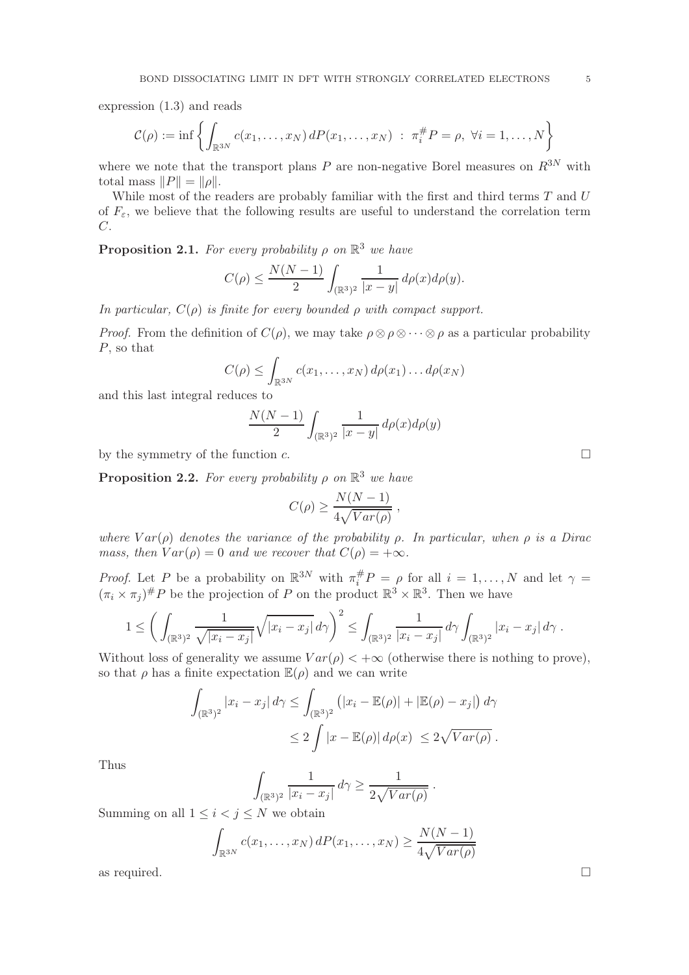expression (1.3) and reads

$$
\mathcal{C}(\rho) := \inf \left\{ \int_{\mathbb{R}^{3N}} c(x_1, \dots, x_N) dP(x_1, \dots, x_N) : \pi_i^{\#} P = \rho, \ \forall i = 1, \dots, N \right\}
$$

where we note that the transport plans  $P$  are non-negative Borel measures on  $R^{3N}$  with total mass  $||P|| = ||\rho||$ .

While most of the readers are probably familiar with the first and third terms  $T$  and  $U$ of  $F_{\varepsilon}$ , we believe that the following results are useful to understand the correlation term  $C<sub>1</sub>$ 

**Proposition 2.1.** For every probability  $\rho$  on  $\mathbb{R}^3$  we have

$$
C(\rho) \le \frac{N(N-1)}{2} \int_{(\mathbb{R}^3)^2} \frac{1}{|x-y|} d\rho(x) d\rho(y).
$$

In particular,  $C(\rho)$  is finite for every bounded  $\rho$  with compact support.

*Proof.* From the definition of  $C(\rho)$ , we may take  $\rho \otimes \rho \otimes \cdots \otimes \rho$  as a particular probability P, so that

$$
C(\rho) \leq \int_{\mathbb{R}^{3N}} c(x_1,\ldots,x_N) d\rho(x_1)\ldots d\rho(x_N)
$$

and this last integral reduces to

$$
\frac{N(N-1)}{2}\int_{(\mathbb{R}^3)^2}\frac{1}{|x-y|}\,d\rho(x)d\rho(y)
$$

by the symmetry of the function c.

**Proposition 2.2.** For every probability  $\rho$  on  $\mathbb{R}^3$  we have

$$
C(\rho) \ge \frac{N(N-1)}{4\sqrt{Var(\rho)}} ,
$$

where  $Var(\rho)$  denotes the variance of the probability  $\rho$ . In particular, when  $\rho$  is a Dirac mass, then  $Var(\rho) = 0$  and we recover that  $C(\rho) = +\infty$ .

*Proof.* Let P be a probability on  $\mathbb{R}^{3N}$  with  $\pi_i^{\#}P = \rho$  for all  $i = 1, ..., N$  and let  $\gamma =$  $(\pi_i \times \pi_j)^\# P$  be the projection of P on the product  $\mathbb{R}^3 \times \mathbb{R}^3$ . Then we have

$$
1 \leq \left(\int_{(\mathbb{R}^3)^2} \frac{1}{\sqrt{|x_i - x_j|}} \sqrt{|x_i - x_j|} \, d\gamma\right)^2 \leq \int_{(\mathbb{R}^3)^2} \frac{1}{|x_i - x_j|} \, d\gamma \int_{(\mathbb{R}^3)^2} |x_i - x_j| \, d\gamma.
$$

Without loss of generality we assume  $Var(\rho) < +\infty$  (otherwise there is nothing to prove), so that  $\rho$  has a finite expectation  $\mathbb{E}(\rho)$  and we can write

$$
\int_{(\mathbb{R}^3)^2} |x_i - x_j| d\gamma \le \int_{(\mathbb{R}^3)^2} (|x_i - \mathbb{E}(\rho)| + |\mathbb{E}(\rho) - x_j|) d\gamma
$$
  

$$
\le 2 \int |x - \mathbb{E}(\rho)| d\rho(x) \le 2\sqrt{Var(\rho)}.
$$

Thus

$$
\int_{(\mathbb{R}^3)^2} \frac{1}{|x_i - x_j|} d\gamma \ge \frac{1}{2\sqrt{Var(\rho)}}.
$$

Summing on all  $1 \leq i < j \leq N$  we obtain

$$
\int_{\mathbb{R}^{3N}} c(x_1, \dots, x_N) dP(x_1, \dots, x_N) \ge \frac{N(N-1)}{4\sqrt{Var(\rho)}}
$$
 as required.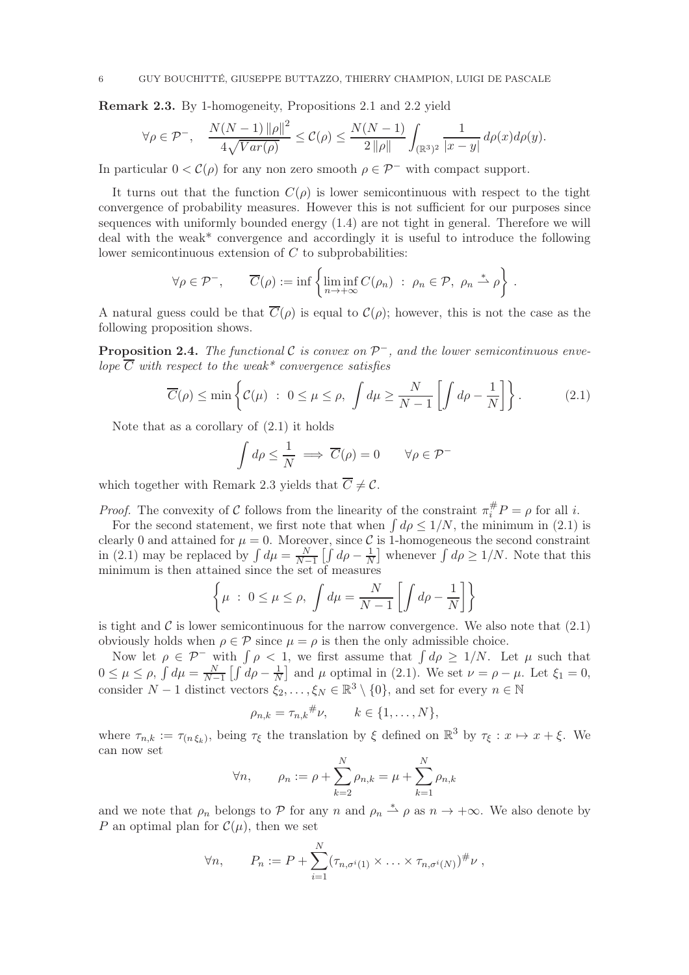Remark 2.3. By 1-homogeneity, Propositions 2.1 and 2.2 yield

$$
\forall \rho \in \mathcal{P}^-,\quad \frac{N(N-1)\left\|\rho\right\|^2}{4\sqrt{Var(\rho)}} \leq \mathcal{C}(\rho) \leq \frac{N(N-1)}{2\left\|\rho\right\|} \int_{(\mathbb{R}^3)^2} \frac{1}{|x-y|} d\rho(x) d\rho(y).
$$

In particular  $0 < C(\rho)$  for any non zero smooth  $\rho \in \mathcal{P}^-$  with compact support.

It turns out that the function  $C(\rho)$  is lower semicontinuous with respect to the tight convergence of probability measures. However this is not sufficient for our purposes since sequences with uniformly bounded energy (1.4) are not tight in general. Therefore we will deal with the weak\* convergence and accordingly it is useful to introduce the following lower semicontinuous extension of C to subprobabilities:

$$
\forall \rho \in \mathcal{P}^-,\qquad \overline{C}(\rho) := \inf \left\{ \liminf_{n \to +\infty} C(\rho_n) \; : \; \rho_n \in \mathcal{P}, \; \rho_n \stackrel{*}{\rightharpoonup} \rho \right\}.
$$

A natural guess could be that  $\overline{C}(\rho)$  is equal to  $\mathcal{C}(\rho)$ ; however, this is not the case as the following proposition shows.

**Proposition 2.4.** The functional C is convex on  $\mathcal{P}^-$ , and the lower semicontinuous envelope  $\overline{C}$  with respect to the weak\* convergence satisfies

$$
\overline{C}(\rho) \le \min\left\{ \mathcal{C}(\mu) \ : \ 0 \le \mu \le \rho, \ \int d\mu \ge \frac{N}{N-1} \left[ \int d\rho - \frac{1}{N} \right] \right\}. \tag{2.1}
$$

Note that as a corollary of  $(2.1)$  it holds

$$
\int d\rho \le \frac{1}{N} \implies \overline{C}(\rho) = 0 \qquad \forall \rho \in \mathcal{P}^-
$$

which together with Remark 2.3 yields that  $\overline{C}\neq \mathcal{C}.$ 

*Proof.* The convexity of C follows from the linearity of the constraint  $\pi_i^{\#} P = \rho$  for all *i*.

For the second statement, we first note that when  $\int d\rho \leq 1/N$ , the minimum in (2.1) is clearly 0 and attained for  $\mu = 0$ . Moreover, since C is 1-homogeneous the second constraint in (2.1) may be replaced by  $\int d\mu = \frac{N}{N-1} \left[ \int d\rho - \frac{1}{N} \right]$  whenever  $\int d\rho \ge 1/N$ . Note that this minimum is then attained since the set of measures

$$
\left\{\mu : 0 \le \mu \le \rho, \int d\mu = \frac{N}{N-1} \left[ \int d\rho - \frac{1}{N} \right] \right\}
$$

is tight and  $\mathcal C$  is lower semicontinuous for the narrow convergence. We also note that  $(2.1)$ obviously holds when  $\rho \in \mathcal{P}$  since  $\mu = \rho$  is then the only admissible choice.

Now let  $\rho \in \mathcal{P}^-$  with  $\int \rho < 1$ , we first assume that  $\int d\rho \geq 1/N$ . Let  $\mu$  such that  $0 \leq \mu \leq \rho$ ,  $\int d\mu = \frac{N}{N-1}$  $\frac{N}{N-1}\left[\int d\rho - \frac{1}{N}\right]$  $\frac{1}{N}$  and  $\mu$  optimal in (2.1). We set  $\nu = \rho - \mu$ . Let  $\xi_1 = 0$ , consider  $N-1$  distinct vectors  $\xi_2, \ldots, \xi_N \in \mathbb{R}^3 \setminus \{0\}$ , and set for every  $n \in \mathbb{N}$ 

$$
\rho_{n,k} = \tau_{n,k}^{\#} \nu, \qquad k \in \{1, \ldots, N\},\
$$

where  $\tau_{n,k} := \tau_{(n,\xi_k)}$ , being  $\tau_{\xi}$  the translation by  $\xi$  defined on  $\mathbb{R}^3$  by  $\tau_{\xi}: x \mapsto x + \xi$ . We can now set

$$
\forall n, \quad \rho_n := \rho + \sum_{k=2}^{N} \rho_{n,k} = \mu + \sum_{k=1}^{N} \rho_{n,k}
$$

and we note that  $\rho_n$  belongs to P for any n and  $\rho_n \stackrel{*}{\rightharpoonup} \rho$  as  $n \to +\infty$ . We also denote by P an optimal plan for  $\mathcal{C}(\mu)$ , then we set

$$
\forall n, \qquad P_n := P + \sum_{i=1}^N (\tau_{n,\sigma^i(1)} \times \ldots \times \tau_{n,\sigma^i(N)})^{\#}\nu,
$$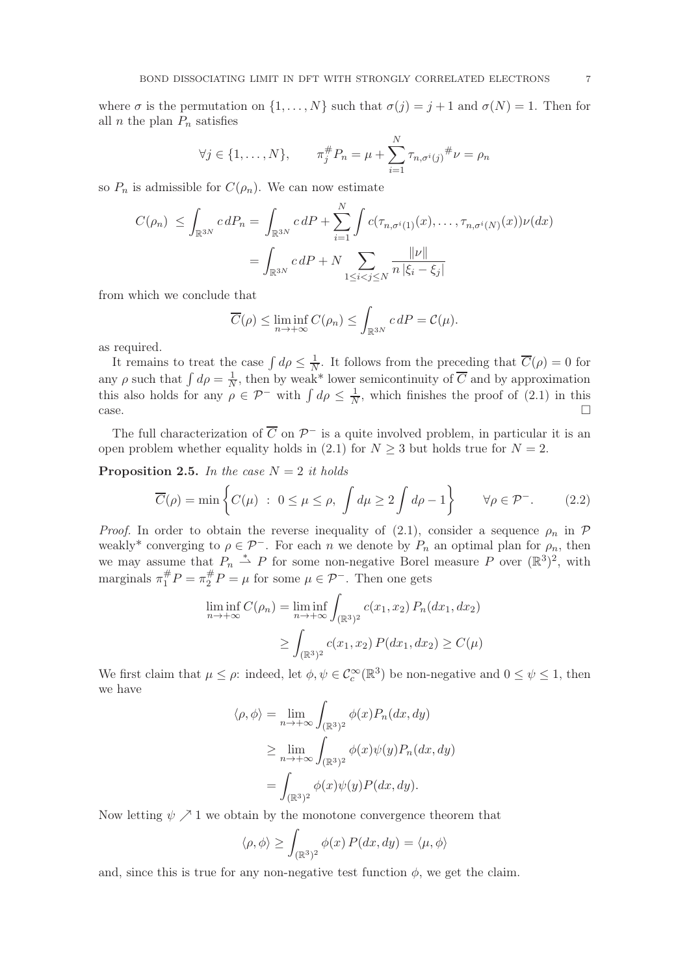where  $\sigma$  is the permutation on  $\{1, \ldots, N\}$  such that  $\sigma(j) = j + 1$  and  $\sigma(N) = 1$ . Then for all *n* the plan  $P_n$  satisfies

$$
\forall j \in \{1, ..., N\}, \qquad \pi_j^{\#} P_n = \mu + \sum_{i=1}^N \tau_{n, \sigma^i(j)}^{\#} \nu = \rho_n
$$

so  $P_n$  is admissible for  $C(\rho_n)$ . We can now estimate

$$
C(\rho_n) \le \int_{\mathbb{R}^{3N}} c \, dP_n = \int_{\mathbb{R}^{3N}} c \, dP + \sum_{i=1}^N \int c(\tau_{n,\sigma^i(1)}(x), \dots, \tau_{n,\sigma^i(N)}(x)) \nu(dx)
$$

$$
= \int_{\mathbb{R}^{3N}} c \, dP + N \sum_{1 \le i < j \le N} \frac{\|\nu\|}{n \, |\xi_i - \xi_j|}
$$

from which we conclude that

$$
\overline{C}(\rho) \le \liminf_{n \to +\infty} C(\rho_n) \le \int_{\mathbb{R}^{3N}} c \, dP = \mathcal{C}(\mu).
$$

as required.

It remains to treat the case  $\int d\rho \leq \frac{1}{N}$  $\frac{1}{N}$ . It follows from the preceding that  $C(\rho) = 0$  for any  $\rho$  such that  $\int d\rho = \frac{1}{N}$  $\frac{1}{N}$ , then by weak\* lower semicontinuity of C and by approximation this also holds for any  $\rho \in \mathcal{P}^-$  with  $\int d\rho \leq \frac{1}{N}$  $\frac{1}{N}$ , which finishes the proof of  $(2.1)$  in this  $\Box$  case.

The full characterization of  $\overline{C}$  on  $\mathcal{P}^-$  is a quite involved problem, in particular it is an open problem whether equality holds in (2.1) for  $N \geq 3$  but holds true for  $N = 2$ .

**Proposition 2.5.** In the case  $N = 2$  it holds

$$
\overline{C}(\rho) = \min \left\{ C(\mu) \ : \ 0 \le \mu \le \rho, \ \int d\mu \ge 2 \int d\rho - 1 \right\} \qquad \forall \rho \in \mathcal{P}^-.
$$
 (2.2)

*Proof.* In order to obtain the reverse inequality of (2.1), consider a sequence  $\rho_n$  in  $\mathcal P$ weakly<sup>\*</sup> converging to  $\rho \in \mathcal{P}^-$ . For each n we denote by  $P_n$  an optimal plan for  $\rho_n$ , then we may assume that  $P_n \stackrel{*}{\rightharpoonup} P$  for some non-negative Borel measure P over  $(\mathbb{R}^3)^2$ , with marginals  $\pi_1^{\#}P = \pi_2^{\#}P = \mu$  for some  $\mu \in \mathcal{P}^-$ . Then one gets

$$
\liminf_{n \to +\infty} C(\rho_n) = \liminf_{n \to +\infty} \int_{(\mathbb{R}^3)^2} c(x_1, x_2) P_n(dx_1, dx_2)
$$
  
\n
$$
\geq \int_{(\mathbb{R}^3)^2} c(x_1, x_2) P(dx_1, dx_2) \geq C(\mu)
$$

We first claim that  $\mu \leq \rho$ : indeed, let  $\phi, \psi \in C_c^{\infty}(\mathbb{R}^3)$  be non-negative and  $0 \leq \psi \leq 1$ , then we have

$$
\langle \rho, \phi \rangle = \lim_{n \to +\infty} \int_{(\mathbb{R}^3)^2} \phi(x) P_n(dx, dy)
$$
  
\n
$$
\geq \lim_{n \to +\infty} \int_{(\mathbb{R}^3)^2} \phi(x) \psi(y) P_n(dx, dy)
$$
  
\n
$$
= \int_{(\mathbb{R}^3)^2} \phi(x) \psi(y) P(dx, dy).
$$

Now letting  $\psi \nearrow 1$  we obtain by the monotone convergence theorem that

$$
\langle \rho, \phi \rangle \ge \int_{(\mathbb{R}^3)^2} \phi(x) P(dx, dy) = \langle \mu, \phi \rangle
$$

and, since this is true for any non-negative test function  $\phi$ , we get the claim.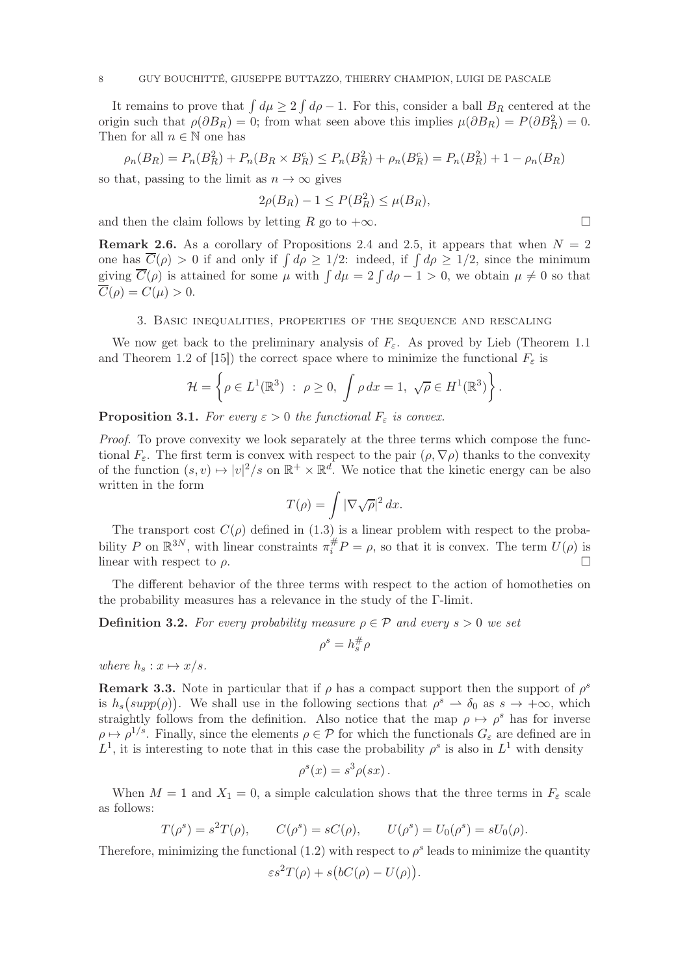It remains to prove that  $\int d\mu \geq 2 \int d\rho - 1$ . For this, consider a ball  $B_R$  centered at the origin such that  $\rho(\partial B_R) = 0$ ; from what seen above this implies  $\mu(\partial B_R) = P(\partial B_R^2) = 0$ . Then for all  $n \in \mathbb{N}$  one has

$$
\rho_n(B_R) = P_n(B_R^2) + P_n(B_R \times B_R^c) \le P_n(B_R^2) + \rho_n(B_R^c) = P_n(B_R^2) + 1 - \rho_n(B_R)
$$

so that, passing to the limit as  $n \to \infty$  gives

$$
2\rho(B_R) - 1 \le P(B_R^2) \le \mu(B_R),
$$

and then the claim follows by letting R go to  $+\infty$ .

**Remark 2.6.** As a corollary of Propositions 2.4 and 2.5, it appears that when  $N = 2$ one has  $\overline{C}(\rho) > 0$  if and only if  $\int d\rho \ge 1/2$ : indeed, if  $\int d\rho \ge 1/2$ , since the minimum giving  $\overline{C}(\rho)$  is attained for some  $\mu$  with  $\int d\mu = 2 \int d\rho - 1 > 0$ , we obtain  $\mu \neq 0$  so that  $\overline{C}(\rho) = C(\mu) > 0.$ 

#### 3. Basic inequalities, properties of the sequence and rescaling

We now get back to the preliminary analysis of  $F_{\varepsilon}$ . As proved by Lieb (Theorem 1.1) and Theorem 1.2 of [15]) the correct space where to minimize the functional  $F_{\varepsilon}$  is

$$
\mathcal{H} = \left\{ \rho \in L^1(\mathbb{R}^3) \; : \; \rho \ge 0, \; \int \rho \, dx = 1, \; \sqrt{\rho} \in H^1(\mathbb{R}^3) \right\}.
$$

**Proposition 3.1.** For every  $\varepsilon > 0$  the functional  $F_{\varepsilon}$  is convex.

Proof. To prove convexity we look separately at the three terms which compose the functional  $F_{\varepsilon}$ . The first term is convex with respect to the pair  $(\rho, \nabla \rho)$  thanks to the convexity of the function  $(s, v) \mapsto |v|^2/s$  on  $\mathbb{R}^+ \times \mathbb{R}^d$ . We notice that the kinetic energy can be also written in the form

$$
T(\rho)=\int |\nabla\sqrt{\rho}|^2\,dx.
$$

The transport cost  $C(\rho)$  defined in (1.3) is a linear problem with respect to the probability P on  $\mathbb{R}^{3N}$ , with linear constraints  $\pi_i^{\#}P = \rho$ , so that it is convex. The term  $U(\rho)$  is linear with respect to  $\rho$ .

The different behavior of the three terms with respect to the action of homotheties on the probability measures has a relevance in the study of the Γ-limit.

**Definition 3.2.** For every probability measure  $\rho \in \mathcal{P}$  and every  $s > 0$  we set

$$
\rho^s=h_s^\#\rho
$$

where  $h_s: x \mapsto x/s$ .

**Remark 3.3.** Note in particular that if  $\rho$  has a compact support then the support of  $\rho^s$ is  $h_s(supp(\rho))$ . We shall use in the following sections that  $\rho^s \to \delta_0$  as  $s \to +\infty$ , which straightly follows from the definition. Also notice that the map  $\rho \mapsto \rho^s$  has for inverse  $\rho \mapsto \rho^{1/s}$ . Finally, since the elements  $\rho \in \mathcal{P}$  for which the functionals  $G_{\varepsilon}$  are defined are in  $L^1$ , it is interesting to note that in this case the probability  $\rho^s$  is also in  $L^1$  with density

$$
\rho^s(x) = s^3 \rho(sx) \, .
$$

When  $M = 1$  and  $X_1 = 0$ , a simple calculation shows that the three terms in  $F_{\varepsilon}$  scale as follows:

$$
T(\rho^s) = s^2 T(\rho), \qquad C(\rho^s) = sC(\rho), \qquad U(\rho^s) = U_0(\rho^s) = sU_0(\rho).
$$

Therefore, minimizing the functional  $(1.2)$  with respect to  $\rho^s$  leads to minimize the quantity

$$
\varepsilon s^2 T(\rho) + s\big(bC(\rho) - U(\rho)\big).
$$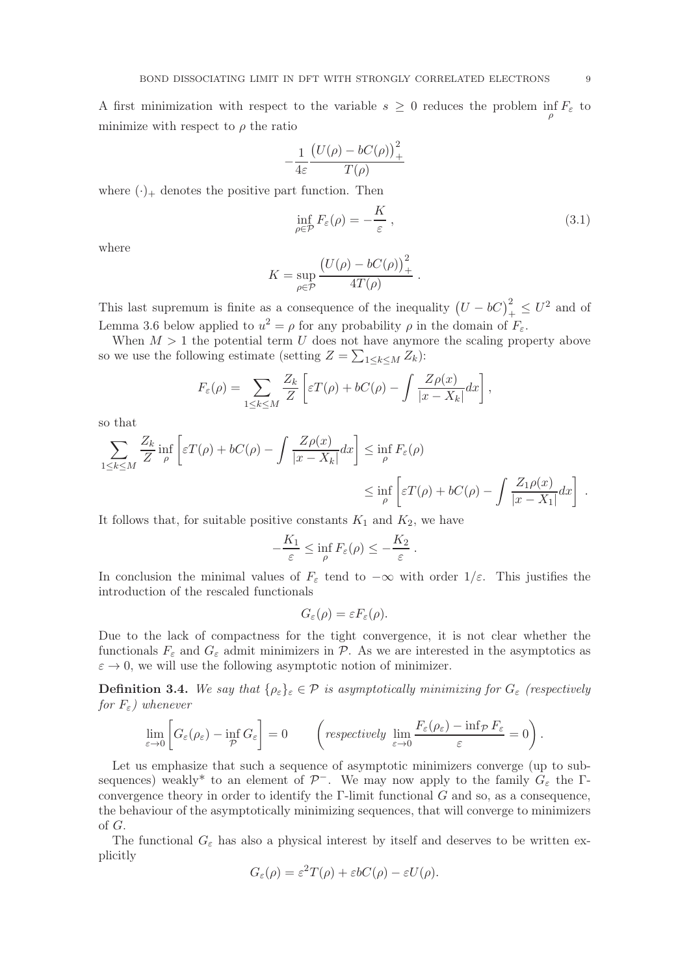A first minimization with respect to the variable  $s \geq 0$  reduces the problem  $\inf_{\rho} F_{\varepsilon}$  to minimize with respect to  $\rho$  the ratio

$$
-\frac{1}{4\varepsilon}\frac{\big(U(\rho)-bC(\rho)\big)_+^2}{T(\rho)}
$$

where  $(\cdot)_+$  denotes the positive part function. Then

$$
\inf_{\rho \in \mathcal{P}} F_{\varepsilon}(\rho) = -\frac{K}{\varepsilon},\tag{3.1}
$$

where

$$
K = \sup_{\rho \in \mathcal{P}} \frac{\big(U(\rho) - bC(\rho)\big)^2_+}{4T(\rho)}.
$$

This last supremum is finite as a consequence of the inequality  $(U - bC)^2_+ \leq U^2$  and of Lemma 3.6 below applied to  $u^2 = \rho$  for any probability  $\rho$  in the domain of  $F_{\varepsilon}$ .

When  $M > 1$  the potential term U does not have anymore the scaling property above so we use the following estimate (setting  $Z = \sum_{1 \leq k \leq M} Z_k$ ):

$$
F_{\varepsilon}(\rho) = \sum_{1 \leq k \leq M} \frac{Z_k}{Z} \left[ \varepsilon T(\rho) + bC(\rho) - \int \frac{Z\rho(x)}{|x - X_k|} dx \right],
$$

so that

$$
\sum_{1 \le k \le M} \frac{Z_k}{Z} \inf_{\rho} \left[ \varepsilon T(\rho) + bC(\rho) - \int \frac{Z\rho(x)}{|x - X_k|} dx \right] \le \inf_{\rho} F_{\varepsilon}(\rho)
$$
  

$$
\le \inf_{\rho} \left[ \varepsilon T(\rho) + bC(\rho) - \int \frac{Z_1 \rho(x)}{|x - X_1|} dx \right].
$$

It follows that, for suitable positive constants  $K_1$  and  $K_2$ , we have

$$
-\frac{K_1}{\varepsilon} \le \inf_{\rho} F_{\varepsilon}(\rho) \le -\frac{K_2}{\varepsilon} .
$$

In conclusion the minimal values of  $F_{\varepsilon}$  tend to  $-\infty$  with order  $1/\varepsilon$ . This justifies the introduction of the rescaled functionals

$$
G_{\varepsilon}(\rho) = \varepsilon F_{\varepsilon}(\rho).
$$

Due to the lack of compactness for the tight convergence, it is not clear whether the functionals  $F_{\varepsilon}$  and  $G_{\varepsilon}$  admit minimizers in  $\mathcal{P}$ . As we are interested in the asymptotics as  $\varepsilon \to 0$ , we will use the following asymptotic notion of minimizer.

**Definition 3.4.** We say that  $\{\rho_{\varepsilon}\}_\varepsilon \in \mathcal{P}$  is asymptotically minimizing for  $G_{\varepsilon}$  (respectively for  $F_{\varepsilon}$ ) whenever

$$
\lim_{\varepsilon \to 0} \left[ G_{\varepsilon}(\rho_{\varepsilon}) - \inf_{\mathcal{P}} G_{\varepsilon} \right] = 0 \qquad \left( \text{respectively } \lim_{\varepsilon \to 0} \frac{F_{\varepsilon}(\rho_{\varepsilon}) - \inf_{\mathcal{P}} F_{\varepsilon}}{\varepsilon} = 0 \right).
$$

Let us emphasize that such a sequence of asymptotic minimizers converge (up to subsequences) weakly<sup>\*</sup> to an element of  $\mathcal{P}^-$ . We may now apply to the family  $G_{\varepsilon}$  the  $\Gamma$ convergence theory in order to identify the  $\Gamma$ -limit functional  $G$  and so, as a consequence, the behaviour of the asymptotically minimizing sequences, that will converge to minimizers of G.

The functional  $G_{\varepsilon}$  has also a physical interest by itself and deserves to be written explicitly

$$
G_{\varepsilon}(\rho) = \varepsilon^2 T(\rho) + \varepsilon b C(\rho) - \varepsilon U(\rho).
$$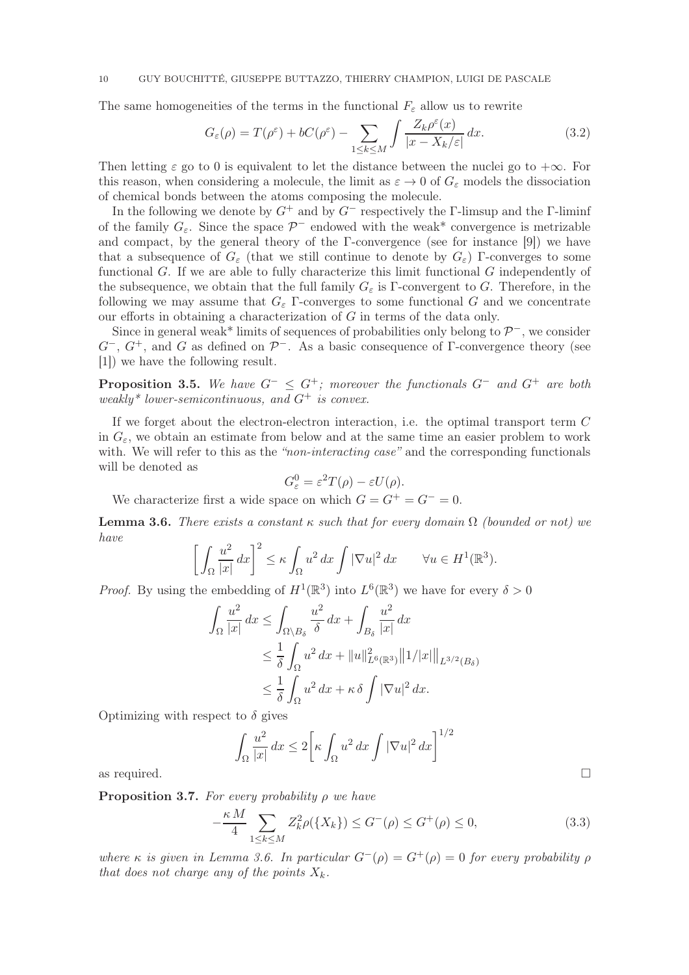The same homogeneities of the terms in the functional  $F_{\varepsilon}$  allow us to rewrite

$$
G_{\varepsilon}(\rho) = T(\rho^{\varepsilon}) + bC(\rho^{\varepsilon}) - \sum_{1 \le k \le M} \int \frac{Z_k \rho^{\varepsilon}(x)}{|x - X_k/\varepsilon|} dx.
$$
 (3.2)

Then letting  $\varepsilon$  go to 0 is equivalent to let the distance between the nuclei go to  $+\infty$ . For this reason, when considering a molecule, the limit as  $\varepsilon \to 0$  of  $G_{\varepsilon}$  models the dissociation of chemical bonds between the atoms composing the molecule.

In the following we denote by  $G^+$  and by  $G^-$  respectively the Γ-limsup and the Γ-liminf of the family  $G_{\varepsilon}$ . Since the space  $\mathcal{P}^-$  endowed with the weak\* convergence is metrizable and compact, by the general theory of the  $\Gamma$ -convergence (see for instance [9]) we have that a subsequence of  $G_{\varepsilon}$  (that we still continue to denote by  $G_{\varepsilon}$ ) Γ-converges to some functional  $G$ . If we are able to fully characterize this limit functional  $G$  independently of the subsequence, we obtain that the full family  $G_{\varepsilon}$  is Γ-convergent to G. Therefore, in the following we may assume that  $G_{\varepsilon}$  Γ-converges to some functional G and we concentrate our efforts in obtaining a characterization of G in terms of the data only.

Since in general weak\* limits of sequences of probabilities only belong to  $\mathcal{P}^-$ , we consider  $G^-, G^+,$  and G as defined on  $\mathcal{P}^-$ . As a basic consequence of Γ-convergence theory (see [1]) we have the following result.

**Proposition 3.5.** We have  $G^- \n\leq G^+$ ; moreover the functionals  $G^-$  and  $G^+$  are both weakly\* lower-semicontinuous, and  $G^+$  is convex.

If we forget about the electron-electron interaction, i.e. the optimal transport term C in  $G_{\varepsilon}$ , we obtain an estimate from below and at the same time an easier problem to work with. We will refer to this as the "non-interacting case" and the corresponding functionals will be denoted as

$$
G_{\varepsilon}^{0} = \varepsilon^{2} T(\rho) - \varepsilon U(\rho).
$$

We characterize first a wide space on which  $G = G^+ = G^- = 0$ .

**Lemma 3.6.** There exists a constant  $\kappa$  such that for every domain  $\Omega$  (bounded or not) we have

$$
\left[\int_{\Omega} \frac{u^2}{|x|} dx\right]^2 \le \kappa \int_{\Omega} u^2 dx \int |\nabla u|^2 dx \qquad \forall u \in H^1(\mathbb{R}^3).
$$

*Proof.* By using the embedding of  $H^1(\mathbb{R}^3)$  into  $L^6(\mathbb{R}^3)$  we have for every  $\delta > 0$ 

$$
\int_{\Omega} \frac{u^2}{|x|} dx \le \int_{\Omega \setminus B_\delta} \frac{u^2}{\delta} dx + \int_{B_\delta} \frac{u^2}{|x|} dx
$$
  
\n
$$
\le \frac{1}{\delta} \int_{\Omega} u^2 dx + ||u||_{L^6(\mathbb{R}^3)}^2 ||1/|x|| ||_{L^{3/2}(B_\delta)}
$$
  
\n
$$
\le \frac{1}{\delta} \int_{\Omega} u^2 dx + \kappa \delta \int |\nabla u|^2 dx.
$$

Optimizing with respect to  $\delta$  gives

$$
\int_{\Omega} \frac{u^2}{|x|} dx \le 2 \bigg[ \kappa \int_{\Omega} u^2 dx \int |\nabla u|^2 dx \bigg]^{1/2}
$$
 as required.

**Proposition 3.7.** For every probability  $\rho$  we have

$$
-\frac{\kappa M}{4} \sum_{1 \le k \le M} Z_k^2 \rho(\{X_k\}) \le G^-(\rho) \le G^+(\rho) \le 0,
$$
\n(3.3)

where κ is given in Lemma 3.6. In particular  $G^{-}(\rho) = G^{+}(\rho) = 0$  for every probability  $\rho$ that does not charge any of the points  $X_k$ .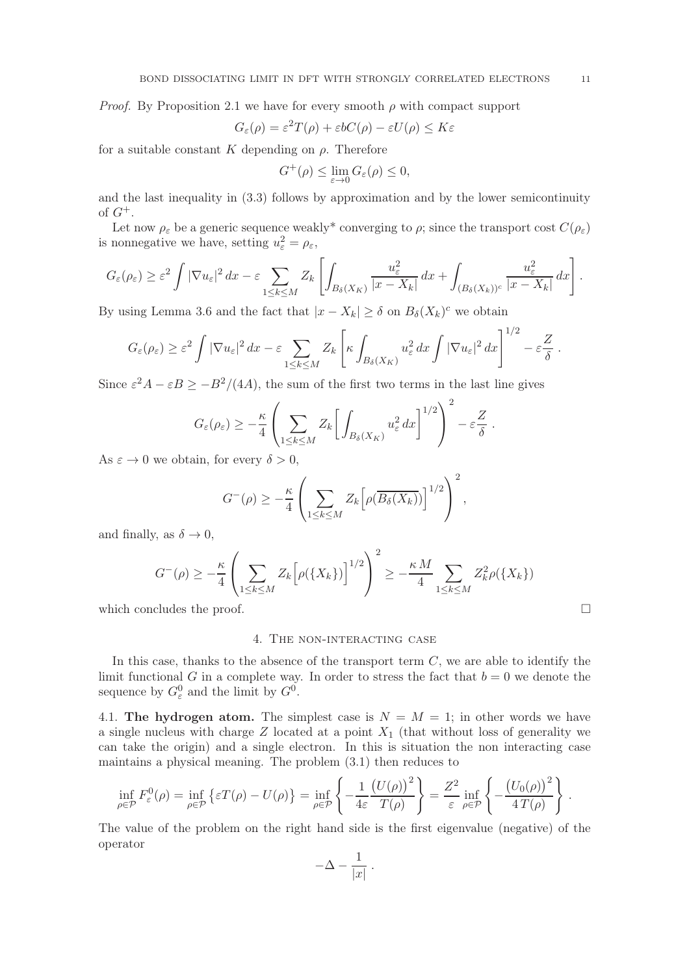*Proof.* By Proposition 2.1 we have for every smooth  $\rho$  with compact support

$$
G_{\varepsilon}(\rho) = \varepsilon^2 T(\rho) + \varepsilon b C(\rho) - \varepsilon U(\rho) \le K\varepsilon
$$

for a suitable constant K depending on  $\rho$ . Therefore

$$
G^+(\rho) \le \lim_{\varepsilon \to 0} G_{\varepsilon}(\rho) \le 0,
$$

and the last inequality in (3.3) follows by approximation and by the lower semicontinuity of  $G^+$ .

Let now  $\rho_{\varepsilon}$  be a generic sequence weakly<sup>\*</sup> converging to  $\rho$ ; since the transport cost  $C(\rho_{\varepsilon})$ is nonnegative we have, setting  $u_{\varepsilon}^2 = \rho_{\varepsilon}$ ,

$$
G_{\varepsilon}(\rho_{\varepsilon}) \geq \varepsilon^{2} \int |\nabla u_{\varepsilon}|^{2} dx - \varepsilon \sum_{1 \leq k \leq M} Z_{k} \left[ \int_{B_{\delta}(X_{K})} \frac{u_{\varepsilon}^{2}}{|x - X_{k}|} dx + \int_{(B_{\delta}(X_{k}))^{c}} \frac{u_{\varepsilon}^{2}}{|x - X_{k}|} dx \right].
$$

By using Lemma 3.6 and the fact that  $|x - X_k| \ge \delta$  on  $B_{\delta}(X_k)^c$  we obtain

$$
G_{\varepsilon}(\rho_{\varepsilon}) \geq \varepsilon^{2} \int |\nabla u_{\varepsilon}|^{2} dx - \varepsilon \sum_{1 \leq k \leq M} Z_{k} \left[ \kappa \int_{B_{\delta}(X_{K})} u_{\varepsilon}^{2} dx \int |\nabla u_{\varepsilon}|^{2} dx \right]^{1/2} - \varepsilon \frac{Z}{\delta}.
$$

Since  $\varepsilon^2 A - \varepsilon B \ge -B^2/(4A)$ , the sum of the first two terms in the last line gives

$$
G_{\varepsilon}(\rho_{\varepsilon}) \geq -\frac{\kappa}{4} \left( \sum_{1 \leq k \leq M} Z_k \bigg[ \int_{B_{\delta}(X_K)} u_{\varepsilon}^2 dx \bigg]^{1/2} \right)^2 - \varepsilon \frac{Z}{\delta}.
$$

As  $\varepsilon \to 0$  we obtain, for every  $\delta > 0$ ,

$$
G^{-}(\rho) \geq -\frac{\kappa}{4} \left( \sum_{1 \leq k \leq M} Z_k \left[ \rho(\overline{B_{\delta}(X_k)}) \right]^{1/2} \right)^2,
$$

and finally, as  $\delta \to 0$ ,

$$
G^{-}(\rho) \geq -\frac{\kappa}{4} \left( \sum_{1 \leq k \leq M} Z_k \left[ \rho(\{X_k\}) \right]^{1/2} \right)^2 \geq -\frac{\kappa M}{4} \sum_{1 \leq k \leq M} Z_k^2 \rho(\{X_k\})
$$

which concludes the proof.  $\Box$ 

# 4. The non-interacting case

In this case, thanks to the absence of the transport term  $C$ , we are able to identify the limit functional G in a complete way. In order to stress the fact that  $b = 0$  we denote the sequence by  $G_{\varepsilon}^0$  and the limit by  $G^0$ .

4.1. The hydrogen atom. The simplest case is  $N = M = 1$ ; in other words we have a single nucleus with charge  $Z$  located at a point  $X_1$  (that without loss of generality we can take the origin) and a single electron. In this is situation the non interacting case maintains a physical meaning. The problem (3.1) then reduces to

$$
\inf_{\rho \in \mathcal{P}} F_{\varepsilon}^{0}(\rho) = \inf_{\rho \in \mathcal{P}} \left\{ \varepsilon T(\rho) - U(\rho) \right\} = \inf_{\rho \in \mathcal{P}} \left\{ -\frac{1}{4\varepsilon} \frac{\left( U(\rho) \right)^{2}}{T(\rho)} \right\} = \frac{Z^{2}}{\varepsilon} \inf_{\rho \in \mathcal{P}} \left\{ -\frac{\left( U_{0}(\rho) \right)^{2}}{4 \, T(\rho)} \right\}.
$$

The value of the problem on the right hand side is the first eigenvalue (negative) of the operator

$$
-\Delta - \frac{1}{|x|} \ .
$$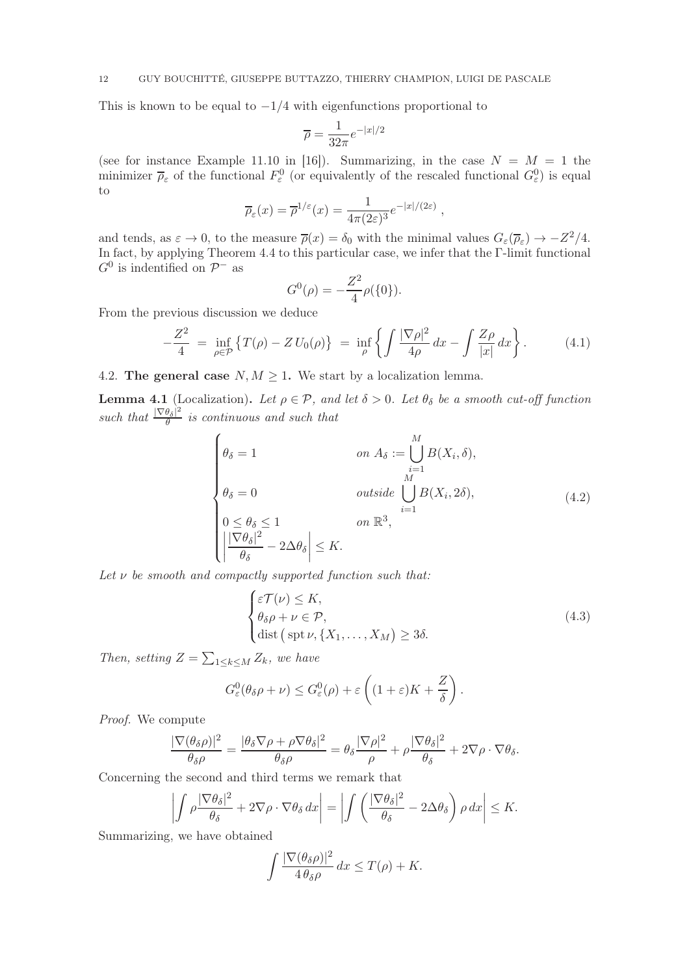This is known to be equal to  $-1/4$  with eigenfunctions proportional to

$$
\overline{\rho} = \frac{1}{32\pi} e^{-|x|/2}
$$

(see for instance Example 11.10 in [16]). Summarizing, in the case  $N = M = 1$  the minimizer  $\bar{\rho}_{\varepsilon}$  of the functional  $F_{\varepsilon}^{0}$  (or equivalently of the rescaled functional  $G_{\varepsilon}^{0}$ ) is equal to

$$
\overline{\rho}_{\varepsilon}(x) = \overline{\rho}^{1/\varepsilon}(x) = \frac{1}{4\pi(2\varepsilon)^3} e^{-|x|/(2\varepsilon)},
$$

and tends, as  $\varepsilon \to 0$ , to the measure  $\overline{\rho}(x) = \delta_0$  with the minimal values  $G_{\varepsilon}(\overline{\rho}_{\varepsilon}) \to -Z^2/4$ . In fact, by applying Theorem 4.4 to this particular case, we infer that the Γ-limit functional  $G^0$  is indentified on  $\mathcal{P}^-$  as

$$
G^{0}(\rho) = -\frac{Z^{2}}{4}\rho(\{0\}).
$$

From the previous discussion we deduce

$$
-\frac{Z^2}{4} = \inf_{\rho \in \mathcal{P}} \left\{ T(\rho) - Z \, U_0(\rho) \right\} = \inf_{\rho} \left\{ \int \frac{|\nabla \rho|^2}{4\rho} \, dx - \int \frac{Z\rho}{|x|} \, dx \right\}. \tag{4.1}
$$

4.2. The general case  $N, M \geq 1$ . We start by a localization lemma.

**Lemma 4.1** (Localization). Let  $\rho \in \mathcal{P}$ , and let  $\delta > 0$ . Let  $\theta_{\delta}$  be a smooth cut-off function such that  $\frac{|\nabla \theta_{\delta}|^2}{\theta}$  $\frac{\theta_{\delta} - \epsilon}{\theta}$  is continuous and such that

$$
\begin{cases}\n\theta_{\delta} = 1 & \text{on } A_{\delta} := \bigcup_{i=1}^{M} B(X_i, \delta), \\
\theta_{\delta} = 0 & \text{outside } \bigcup_{i=1}^{M} B(X_i, 2\delta), \\
0 \le \theta_{\delta} \le 1 & \text{on } \mathbb{R}^3, \\
\left| \frac{|\nabla \theta_{\delta}|^2}{\theta_{\delta}} - 2\Delta \theta_{\delta} \right| \le K.\n\end{cases}
$$
\n(4.2)

Let  $\nu$  be smooth and compactly supported function such that:

$$
\begin{cases} \varepsilon \mathcal{T}(\nu) \leq K, \\ \theta_{\delta} \rho + \nu \in \mathcal{P}, \\ \text{dist} \left( \text{spt } \nu, \{X_1, \dots, X_M\} \right) \geq 3\delta. \end{cases} \tag{4.3}
$$

Then, setting  $Z = \sum_{1 \leq k \leq M} Z_k$ , we have

$$
G_{\varepsilon}^{0}(\theta_{\delta}\rho+\nu)\leq G_{\varepsilon}^{0}(\rho)+\varepsilon\left((1+\varepsilon)K+\frac{Z}{\delta}\right).
$$

Proof. We compute

$$
\frac{|\nabla(\theta_{\delta}\rho)|^2}{\theta_{\delta}\rho} = \frac{|\theta_{\delta}\nabla\rho + \rho\nabla\theta_{\delta}|^2}{\theta_{\delta}\rho} = \theta_{\delta}\frac{|\nabla\rho|^2}{\rho} + \rho\frac{|\nabla\theta_{\delta}|^2}{\theta_{\delta}} + 2\nabla\rho\cdot\nabla\theta_{\delta}.
$$

Concerning the second and third terms we remark that

$$
\left| \int \rho \frac{|\nabla \theta_{\delta}|^2}{\theta_{\delta}} + 2 \nabla \rho \cdot \nabla \theta_{\delta} dx \right| = \left| \int \left( \frac{|\nabla \theta_{\delta}|^2}{\theta_{\delta}} - 2 \Delta \theta_{\delta} \right) \rho dx \right| \leq K.
$$

Summarizing, we have obtained

$$
\int \frac{|\nabla(\theta_{\delta}\rho)|^2}{4\,\theta_{\delta}\rho} \, dx \le T(\rho) + K.
$$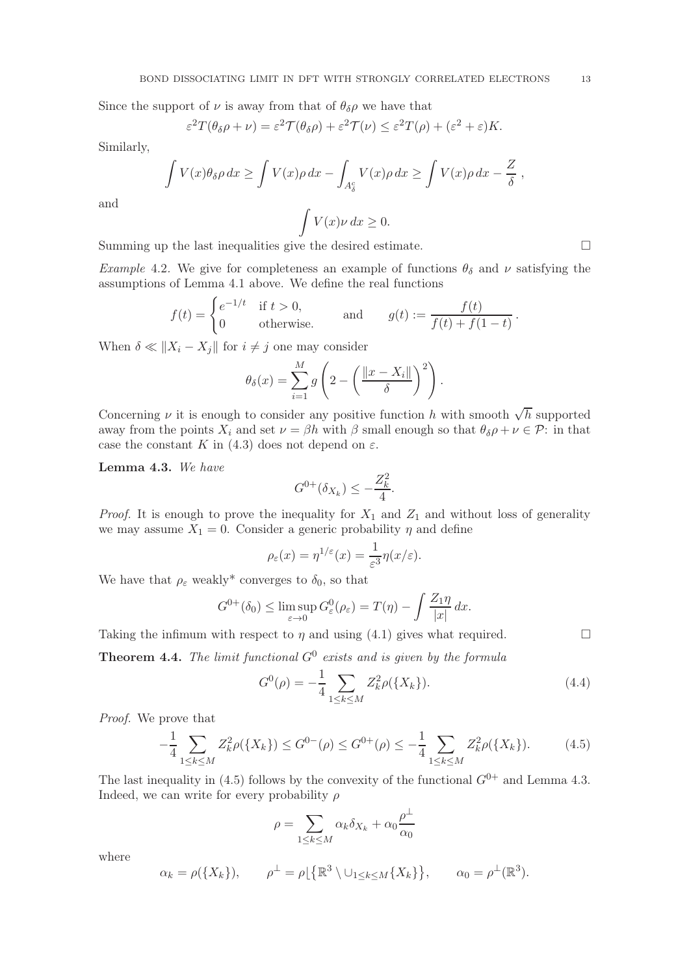Since the support of  $\nu$  is away from that of  $\theta_{\delta}\rho$  we have that

$$
\varepsilon^2 T(\theta_\delta \rho + \nu) = \varepsilon^2 \mathcal{T}(\theta_\delta \rho) + \varepsilon^2 \mathcal{T}(\nu) \leq \varepsilon^2 T(\rho) + (\varepsilon^2 + \varepsilon) K.
$$

Similarly,

$$
\int V(x)\theta_{\delta}\rho dx \ge \int V(x)\rho dx - \int_{A_{\delta}^c} V(x)\rho dx \ge \int V(x)\rho dx - \frac{Z}{\delta},
$$

$$
\int V(x)\nu dx \ge 0.
$$

and

Summing up the last inequalities give the desired estimate.

Example 4.2. We give for completeness an example of functions  $\theta_{\delta}$  and  $\nu$  satisfying the assumptions of Lemma 4.1 above. We define the real functions

$$
f(t) = \begin{cases} e^{-1/t} & \text{if } t > 0, \\ 0 & \text{otherwise.} \end{cases} \quad \text{and} \quad g(t) := \frac{f(t)}{f(t) + f(1 - t)}.
$$

When  $\delta \ll ||X_i - X_j||$  for  $i \neq j$  one may consider

$$
\theta_{\delta}(x) = \sum_{i=1}^{M} g\left(2 - \left(\frac{\|x - X_i\|}{\delta}\right)^2\right).
$$

Concerning  $\nu$  it is enough to consider any positive function h with smooth  $\sqrt{h}$  supported away from the points  $X_i$  and set  $\nu = \beta h$  with  $\beta$  small enough so that  $\theta_{\delta}\rho + \nu \in \mathcal{P}$ : in that case the constant K in (4.3) does not depend on  $\varepsilon$ .

Lemma 4.3. We have

$$
G^{0+}(\delta_{X_k}) \le -\frac{Z_k^2}{4}.
$$

*Proof.* It is enough to prove the inequality for  $X_1$  and  $Z_1$  and without loss of generality we may assume  $X_1 = 0$ . Consider a generic probability  $\eta$  and define

$$
\rho_{\varepsilon}(x) = \eta^{1/\varepsilon}(x) = \frac{1}{\varepsilon^3} \eta(x/\varepsilon).
$$

We have that  $\rho_{\varepsilon}$  weakly<sup>\*</sup> converges to  $\delta_0$ , so that

$$
G^{0+}(\delta_0) \leq \limsup_{\varepsilon \to 0} G^0_{\varepsilon}(\rho_{\varepsilon}) = T(\eta) - \int \frac{Z_1 \eta}{|x|} dx.
$$

Taking the infimum with respect to  $\eta$  and using (4.1) gives what required.

**Theorem 4.4.** The limit functional  $G^0$  exists and is given by the formula

$$
G^{0}(\rho) = -\frac{1}{4} \sum_{1 \le k \le M} Z_{k}^{2} \rho(\{X_{k}\}).
$$
\n(4.4)

Proof. We prove that

$$
-\frac{1}{4} \sum_{1 \le k \le M} Z_k^2 \rho(\{X_k\}) \le G^{0-}(\rho) \le G^{0+}(\rho) \le -\frac{1}{4} \sum_{1 \le k \le M} Z_k^2 \rho(\{X_k\}).\tag{4.5}
$$

The last inequality in (4.5) follows by the convexity of the functional  $G^{0+}$  and Lemma 4.3. Indeed, we can write for every probability  $\rho$ 

$$
\rho = \sum_{1 \le k \le M} \alpha_k \delta_{X_k} + \alpha_0 \frac{\rho^{\perp}}{\alpha_0}
$$

where

$$
\alpha_k = \rho(\lbrace X_k \rbrace), \qquad \rho^{\perp} = \rho \lfloor \lbrace \mathbb{R}^3 \setminus \cup_{1 \leq k \leq M} \lbrace X_k \rbrace \rbrace, \qquad \alpha_0 = \rho^{\perp}(\mathbb{R}^3).
$$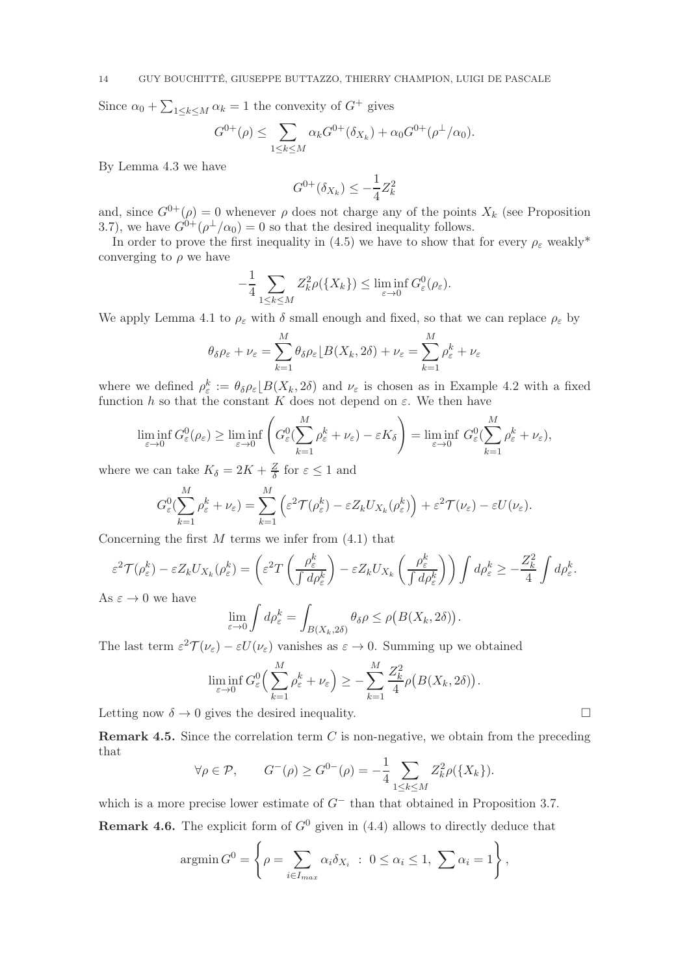Since  $\alpha_0 + \sum_{1 \leq k \leq M} \alpha_k = 1$  the convexity of  $G^+$  gives

$$
G^{0+}(\rho) \le \sum_{1 \le k \le M} \alpha_k G^{0+}(\delta_{X_k}) + \alpha_0 G^{0+}(\rho^{\perp}/\alpha_0).
$$

By Lemma 4.3 we have

$$
G^{0+}(\delta_{X_k}) \leq -\frac{1}{4}Z_k^2
$$

and, since  $G^{0+}(\rho) = 0$  whenever  $\rho$  does not charge any of the points  $X_k$  (see Proposition 3.7), we have  $G^{0+}(\rho^{\perp}/\alpha_0) = 0$  so that the desired inequality follows.

In order to prove the first inequality in (4.5) we have to show that for every  $\rho_{\varepsilon}$  weakly<sup>\*</sup> converging to  $\rho$  we have

$$
-\frac{1}{4}\sum_{1\leq k\leq M}Z_k^2\rho(\lbrace X_k\rbrace)\leq \liminf_{\varepsilon\to 0}G^0_{\varepsilon}(\rho_{\varepsilon}).
$$

We apply Lemma 4.1 to  $\rho_{\varepsilon}$  with  $\delta$  small enough and fixed, so that we can replace  $\rho_{\varepsilon}$  by

$$
\theta_{\delta}\rho_{\varepsilon} + \nu_{\varepsilon} = \sum_{k=1}^{M} \theta_{\delta}\rho_{\varepsilon} \left[ B(X_k, 2\delta) + \nu_{\varepsilon} = \sum_{k=1}^{M} \rho_{\varepsilon}^k + \nu_{\varepsilon}
$$

where we defined  $\rho_{\varepsilon}^{k} := \theta_{\delta} \rho_{\varepsilon} \lfloor B(X_{k}, 2\delta) \rfloor$  and  $\nu_{\varepsilon}$  is chosen as in Example 4.2 with a fixed function h so that the constant K does not depend on  $\varepsilon$ . We then have

$$
\liminf_{\varepsilon \to 0} G_{\varepsilon}^0(\rho_{\varepsilon}) \ge \liminf_{\varepsilon \to 0} \left( G_{\varepsilon}^0(\sum_{k=1}^M \rho_{\varepsilon}^k + \nu_{\varepsilon}) - \varepsilon K_{\delta} \right) = \liminf_{\varepsilon \to 0} G_{\varepsilon}^0(\sum_{k=1}^M \rho_{\varepsilon}^k + \nu_{\varepsilon}),
$$

where we can take  $K_{\delta} = 2K + \frac{Z}{\delta}$  $\frac{Z}{\delta}$  for  $\varepsilon \leq 1$  and

$$
G_{\varepsilon}^{0}(\sum_{k=1}^{M} \rho_{\varepsilon}^{k} + \nu_{\varepsilon}) = \sum_{k=1}^{M} \left( \varepsilon^{2} \mathcal{T}(\rho_{\varepsilon}^{k}) - \varepsilon Z_{k} U_{X_{k}}(\rho_{\varepsilon}^{k}) \right) + \varepsilon^{2} \mathcal{T}(\nu_{\varepsilon}) - \varepsilon U(\nu_{\varepsilon}).
$$

Concerning the first  $M$  terms we infer from  $(4.1)$  that

$$
\varepsilon^2 \mathcal{T}(\rho_{\varepsilon}^k) - \varepsilon Z_k U_{X_k}(\rho_{\varepsilon}^k) = \left(\varepsilon^2 T \left(\frac{\rho_{\varepsilon}^k}{\int d\rho_{\varepsilon}^k}\right) - \varepsilon Z_k U_{X_k} \left(\frac{\rho_{\varepsilon}^k}{\int d\rho_{\varepsilon}^k}\right)\right) \int d\rho_{\varepsilon}^k \ge -\frac{Z_k^2}{4} \int d\rho_{\varepsilon}^k.
$$

As  $\varepsilon \to 0$  we have

$$
\lim_{\varepsilon \to 0} \int d\rho_{\varepsilon}^k = \int_{B(X_k, 2\delta)} \theta_{\delta} \rho \le \rho(B(X_k, 2\delta)).
$$

The last term  $\varepsilon^2 \mathcal{T}(\nu_{\varepsilon}) - \varepsilon U(\nu_{\varepsilon})$  vanishes as  $\varepsilon \to 0$ . Summing up we obtained

$$
\liminf_{\varepsilon \to 0} G_{\varepsilon}^{0}\Big(\sum_{k=1}^{M} \rho_{\varepsilon}^{k} + \nu_{\varepsilon}\Big) \geq -\sum_{k=1}^{M} \frac{Z_{k}^{2}}{4} \rho\big(B(X_{k}, 2\delta)\big).
$$

Letting now  $\delta \to 0$  gives the desired inequality.

**Remark 4.5.** Since the correlation term  $C$  is non-negative, we obtain from the preceding that

$$
\forall \rho \in \mathcal{P}, \qquad G^{-}(\rho) \geq G^{0-}(\rho) = -\frac{1}{4} \sum_{1 \leq k \leq M} Z_{k}^{2} \rho(\lbrace X_{k} \rbrace).
$$

which is a more precise lower estimate of  $G^-$  than that obtained in Proposition 3.7.

**Remark 4.6.** The explicit form of  $G^0$  given in (4.4) allows to directly deduce that

$$
\operatorname{argmin} G^0 = \left\{ \rho = \sum_{i \in I_{max}} \alpha_i \delta_{X_i} : 0 \le \alpha_i \le 1, \sum \alpha_i = 1 \right\},\
$$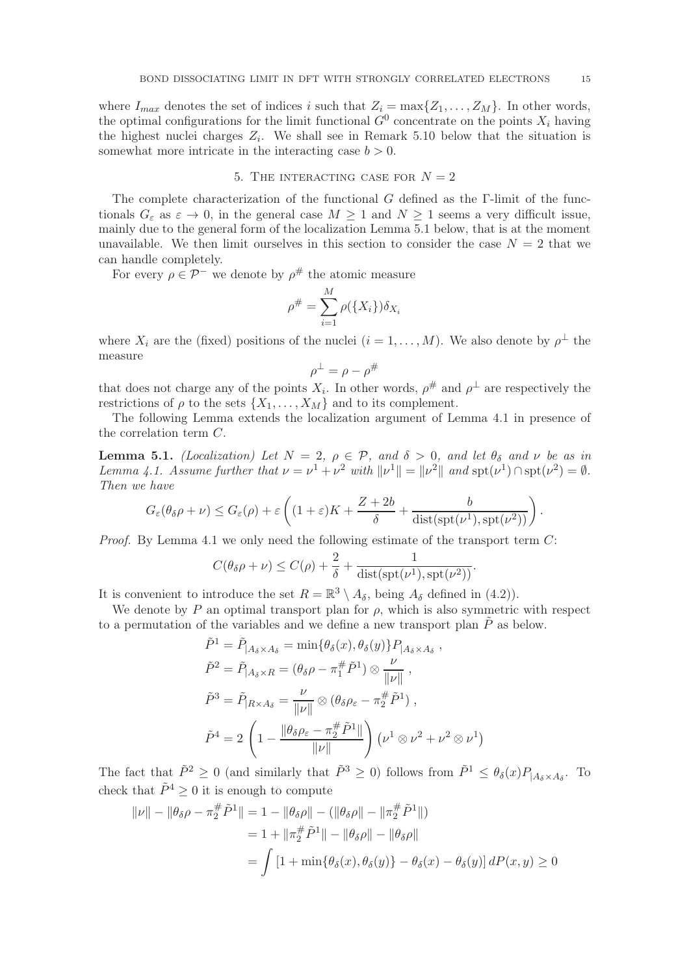where  $I_{max}$  denotes the set of indices i such that  $Z_i = \max\{Z_1, \ldots, Z_M\}$ . In other words, the optimal configurations for the limit functional  $G^0$  concentrate on the points  $X_i$  having the highest nuclei charges  $Z_i$ . We shall see in Remark 5.10 below that the situation is somewhat more intricate in the interacting case  $b > 0$ .

### 5. THE INTERACTING CASE FOR  $N = 2$

The complete characterization of the functional  $G$  defined as the  $\Gamma$ -limit of the functionals  $G_{\varepsilon}$  as  $\varepsilon \to 0$ , in the general case  $M \geq 1$  and  $N \geq 1$  seems a very difficult issue, mainly due to the general form of the localization Lemma 5.1 below, that is at the moment unavailable. We then limit ourselves in this section to consider the case  $N = 2$  that we can handle completely.

For every  $\rho \in \mathcal{P}^-$  we denote by  $\rho^{\#}$  the atomic measure

$$
\rho^{\#} = \sum_{i=1}^{M} \rho(\{X_i\}) \delta_{X_i}
$$

where  $X_i$  are the (fixed) positions of the nuclei  $(i = 1, \ldots, M)$ . We also denote by  $\rho^{\perp}$  the measure

$$
\rho^{\perp} = \rho - \rho^{\#}
$$

that does not charge any of the points  $X_i$ . In other words,  $\rho^{\#}$  and  $\rho^{\perp}$  are respectively the restrictions of  $\rho$  to the sets  $\{X_1, \ldots, X_M\}$  and to its complement.

The following Lemma extends the localization argument of Lemma 4.1 in presence of the correlation term C.

**Lemma 5.1.** (Localization) Let  $N = 2$ ,  $\rho \in \mathcal{P}$ , and  $\delta > 0$ , and let  $\theta_{\delta}$  and  $\nu$  be as in Lemma 4.1. Assume further that  $\nu = \nu^1 + \nu^2$  with  $\|\nu^1\| = \|\nu^2\|$  and  $\text{spt}(\nu^1) \cap \text{spt}(\nu^2) = \emptyset$ . Then we have

$$
G_{\varepsilon}(\theta_{\delta}\rho+\nu)\leq G_{\varepsilon}(\rho)+\varepsilon\left((1+\varepsilon)K+\frac{Z+2b}{\delta}+\frac{b}{\mathrm{dist}(\mathrm{spt}(\nu^1),\mathrm{spt}(\nu^2))}\right).
$$

*Proof.* By Lemma 4.1 we only need the following estimate of the transport term  $C$ :

$$
C(\theta_{\delta}\rho + \nu) \leq C(\rho) + \frac{2}{\delta} + \frac{1}{\text{dist}(\text{spt}(\nu^1), \text{spt}(\nu^2))}.
$$

It is convenient to introduce the set  $R = \mathbb{R}^3 \setminus A_{\delta}$ , being  $A_{\delta}$  defined in (4.2)).

We denote by  $P$  an optimal transport plan for  $\rho$ , which is also symmetric with respect to a permutation of the variables and we define a new transport plan  $\tilde{P}$  as below.

$$
\tilde{P}^1 = \tilde{P}_{|A_{\delta} \times A_{\delta}} = \min \{ \theta_{\delta}(x), \theta_{\delta}(y) \} P_{|A_{\delta} \times A_{\delta}},
$$
\n
$$
\tilde{P}^2 = \tilde{P}_{|A_{\delta} \times R} = (\theta_{\delta} \rho - \pi_1^{\#} \tilde{P}^1) \otimes \frac{\nu}{\|\nu\|},
$$
\n
$$
\tilde{P}^3 = \tilde{P}_{|R \times A_{\delta}} = \frac{\nu}{\|\nu\|} \otimes (\theta_{\delta} \rho_{\varepsilon} - \pi_2^{\#} \tilde{P}^1),
$$
\n
$$
\tilde{P}^4 = 2 \left( 1 - \frac{\|\theta_{\delta} \rho_{\varepsilon} - \pi_2^{\#} \tilde{P}^1\|}{\|\nu\|} \right) \left( \nu^1 \otimes \nu^2 + \nu^2 \otimes \nu^1 \right)
$$

The fact that  $\tilde{P}^2 \ge 0$  (and similarly that  $\tilde{P}^3 \ge 0$ ) follows from  $\tilde{P}^1 \le \theta_\delta(x) P_{|A_\delta \times A_\delta}$ . To check that  $\tilde{P}^4 \geq 0$  it is enough to compute

$$
\|v\| - \|\theta_{\delta}\rho - \pi_2^{\#}\tilde{P}^1\| = 1 - \|\theta_{\delta}\rho\| - (\|\theta_{\delta}\rho\| - \|\pi_2^{\#}\tilde{P}^1\|)
$$
  
= 1 +  $\|\pi_2^{\#}\tilde{P}^1\| - \|\theta_{\delta}\rho\| - \|\theta_{\delta}\rho\|$   
=  $\int [1 + \min{\theta_{\delta}(x), \theta_{\delta}(y)} - \theta_{\delta}(x) - \theta_{\delta}(y)] dP(x, y) \ge 0$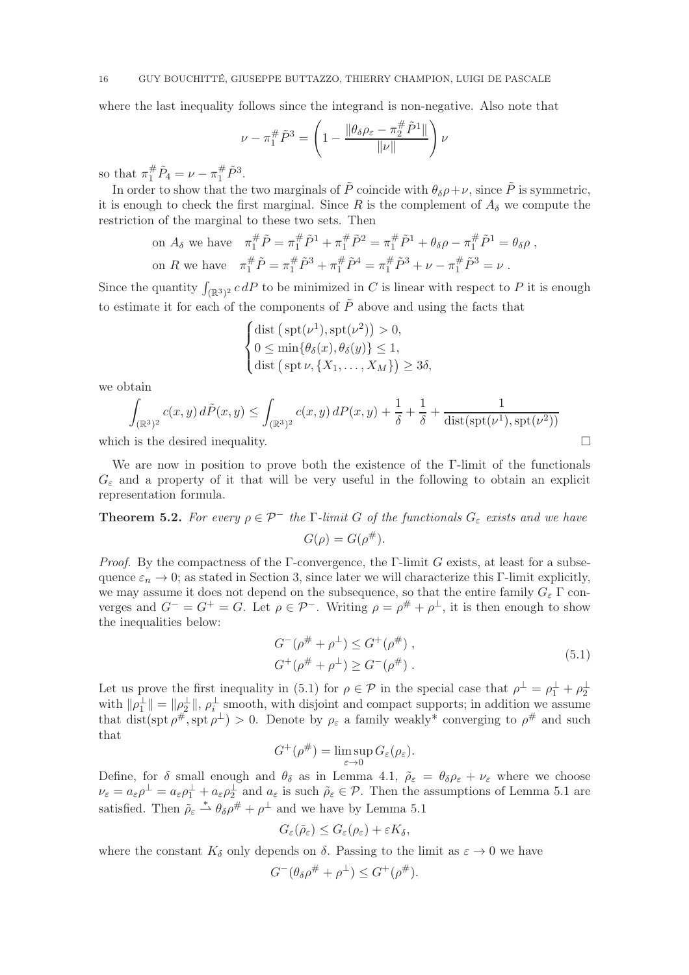where the last inequality follows since the integrand is non-negative. Also note that

$$
\nu - \pi_1^{\#} \tilde{P}^3 = \left( 1 - \frac{\|\theta_{\delta} \rho_{\varepsilon} - \pi_2^{\#} \tilde{P}^1\|}{\|\nu\|} \right) \nu
$$

so that  $\pi_1^{\#} \tilde{P}_4 = \nu - \pi_1^{\#} \tilde{P}^3$ .

In order to show that the two marginals of  $\tilde{P}$  coincide with  $\theta_{\delta}\rho+\nu$ , since  $\tilde{P}$  is symmetric, it is enough to check the first marginal. Since R is the complement of  $A_\delta$  we compute the restriction of the marginal to these two sets. Then

on 
$$
A_{\delta}
$$
 we have  $\pi_1^{\#} \tilde{P} = \pi_1^{\#} \tilde{P}^1 + \pi_1^{\#} \tilde{P}^2 = \pi_1^{\#} \tilde{P}^1 + \theta_{\delta} \rho - \pi_1^{\#} \tilde{P}^1 = \theta_{\delta} \rho$ ,  
on R we have  $\pi_1^{\#} \tilde{P} = \pi_1^{\#} \tilde{P}^3 + \pi_1^{\#} \tilde{P}^4 = \pi_1^{\#} \tilde{P}^3 + \nu - \pi_1^{\#} \tilde{P}^3 = \nu$ .

Since the quantity  $\int_{(\mathbb{R}^3)^2} c dP$  to be minimized in C is linear with respect to P it is enough to estimate it for each of the components of  $\tilde{P}$  above and using the facts that

$$
\begin{cases} \text{dist} \left( \text{spt}(\nu^1), \text{spt}(\nu^2) \right) > 0, \\ 0 \le \min \{ \theta_\delta(x), \theta_\delta(y) \} \le 1, \\ \text{dist} \left( \text{spt} \, \nu, \{ X_1, \dots, X_M \} \right) \ge 3\delta, \end{cases}
$$

we obtain

$$
\int_{(\mathbb{R}^3)^2} c(x,y) d\tilde{P}(x,y) \le \int_{(\mathbb{R}^3)^2} c(x,y) dP(x,y) + \frac{1}{\delta} + \frac{1}{\delta} + \frac{1}{\text{dist}(\text{spt}(\nu^1),\text{spt}(\nu^2))}
$$

which is the desired inequality.  $\Box$ 

We are now in position to prove both the existence of the Γ-limit of the functionals  $G_{\varepsilon}$  and a property of it that will be very useful in the following to obtain an explicit representation formula.

**Theorem 5.2.** For every  $\rho \in \mathcal{P}^-$  the Γ-limit G of the functionals  $G_{\varepsilon}$  exists and we have  $G(\rho) = G(\rho^{\#}).$ 

*Proof.* By the compactness of the Γ-convergence, the Γ-limit G exists, at least for a subsequence  $\varepsilon_n \to 0$ ; as stated in Section 3, since later we will characterize this Γ-limit explicitly, we may assume it does not depend on the subsequence, so that the entire family  $G_{\varepsilon} \Gamma$  converges and  $G^- = G^+ = G$ . Let  $\rho \in \mathcal{P}^-$ . Writing  $\rho = \rho^{\#} + \rho^{\perp}$ , it is then enough to show the inequalities below:

$$
G^{-}(\rho^{\#} + \rho^{\perp}) \leq G^{+}(\rho^{\#}),
$$
  
\n
$$
G^{+}(\rho^{\#} + \rho^{\perp}) \geq G^{-}(\rho^{\#}).
$$
\n(5.1)

Let us prove the first inequality in (5.1) for  $\rho \in \mathcal{P}$  in the special case that  $\rho^{\perp} = \rho_1^{\perp} + \rho_2^{\perp}$ with  $\|\rho_1^{\perp}\| = \|\rho_2^{\perp}\|$ ,  $\rho_i^{\perp}$  smooth, with disjoint and compact supports; in addition we assume that dist(spt  $\rho^{\#}$ , spt  $\rho^{\perp}$ ) > 0. Denote by  $\rho_{\varepsilon}$  a family weakly\* converging to  $\rho^{\#}$  and such that

$$
G^+(\rho^\#)=\limsup_{\varepsilon\to 0}G_\varepsilon(\rho_\varepsilon).
$$

Define, for  $\delta$  small enough and  $\theta_{\delta}$  as in Lemma 4.1,  $\rho_{\epsilon} = \theta_{\delta} \rho_{\epsilon} + \nu_{\epsilon}$  where we choose  $\nu_{\varepsilon} = a_{\varepsilon} \rho^{\perp} = a_{\varepsilon} \rho^{\perp} + a_{\varepsilon} \rho^{\perp}$  and  $a_{\varepsilon}$  is such  $\tilde{\rho}_{\varepsilon} \in \mathcal{P}$ . Then the assumptions of Lemma 5.1 are satisfied. Then  $\rho_{\varepsilon} \stackrel{*}{\rightharpoonup} \theta_{\delta} \rho^{\#} + \rho^{\perp}$  and we have by Lemma 5.1

$$
G_{\varepsilon}(\tilde{\rho}_{\varepsilon}) \leq G_{\varepsilon}(\rho_{\varepsilon}) + \varepsilon K_{\delta},
$$

where the constant  $K_{\delta}$  only depends on  $\delta$ . Passing to the limit as  $\varepsilon \to 0$  we have

$$
G^{-}(\theta_{\delta}\rho^{\#}+\rho^{\perp})\leq G^{+}(\rho^{\#}).
$$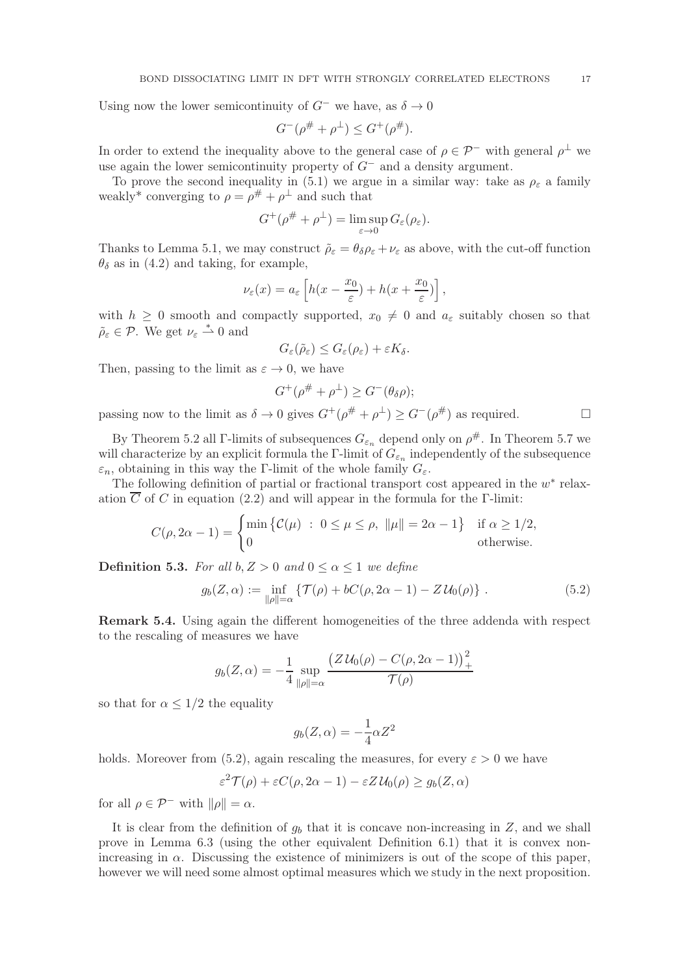Using now the lower semicontinuity of  $G^-$  we have, as  $\delta \to 0$ 

$$
G^{-}(\rho^{\#} + \rho^{\perp}) \leq G^{+}(\rho^{\#}).
$$

In order to extend the inequality above to the general case of  $\rho \in \mathcal{P}^-$  with general  $\rho^{\perp}$  we use again the lower semicontinuity property of  $G^-$  and a density argument.

To prove the second inequality in (5.1) we argue in a similar way: take as  $\rho_{\varepsilon}$  a family weakly<sup>\*</sup> converging to  $\rho = \rho^{\#} + \rho^{\perp}$  and such that

$$
G^+(\rho^{\#} + \rho^{\perp}) = \limsup_{\varepsilon \to 0} G_{\varepsilon}(\rho_{\varepsilon}).
$$

Thanks to Lemma 5.1, we may construct  $\tilde{\rho}_{\varepsilon} = \theta_{\delta} \rho_{\varepsilon} + \nu_{\varepsilon}$  as above, with the cut-off function  $\theta_{\delta}$  as in (4.2) and taking, for example,

$$
\nu_{\varepsilon}(x) = a_{\varepsilon} \left[ h(x - \frac{x_0}{\varepsilon}) + h(x + \frac{x_0}{\varepsilon}) \right],
$$

with  $h \geq 0$  smooth and compactly supported,  $x_0 \neq 0$  and  $a_{\varepsilon}$  suitably chosen so that  $\tilde{\rho}_{\varepsilon} \in \mathcal{P}$ . We get  $\nu_{\varepsilon} \stackrel{*}{\rightharpoonup} 0$  and

$$
G_{\varepsilon}(\tilde{\rho}_{\varepsilon}) \leq G_{\varepsilon}(\rho_{\varepsilon}) + \varepsilon K_{\delta}.
$$

Then, passing to the limit as  $\varepsilon \to 0$ , we have

$$
G^+(\rho^{\#} + \rho^{\perp}) \ge G^-(\theta_{\delta}\rho);
$$

passing now to the limit as  $\delta \to 0$  gives  $G^+(\rho^{\#} + \rho^{\perp}) \ge G^-(\rho^{\#})$  as required.

By Theorem 5.2 all  $\Gamma$ -limits of subsequences  $G_{\varepsilon_n}$  depend only on  $\rho^{\#}$ . In Theorem 5.7 we will characterize by an explicit formula the  $\Gamma$ -limit of  $G_{\varepsilon_n}$  independently of the subsequence  $\varepsilon_n$ , obtaining in this way the Γ-limit of the whole family  $G_{\varepsilon}$ .

The following definition of partial or fractional transport cost appeared in the  $w^*$  relaxation  $\overline{C}$  of C in equation (2.2) and will appear in the formula for the Γ-limit:

$$
C(\rho, 2\alpha - 1) = \begin{cases} \min \{ \mathcal{C}(\mu) : 0 \le \mu \le \rho, \ \|\mu\| = 2\alpha - 1 \} & \text{if } \alpha \ge 1/2, \\ 0 & \text{otherwise.} \end{cases}
$$

**Definition 5.3.** For all  $b, Z > 0$  and  $0 \leq \alpha \leq 1$  we define

$$
g_b(Z, \alpha) := \inf_{\|\rho\| = \alpha} \{ \mathcal{T}(\rho) + bC(\rho, 2\alpha - 1) - Z\mathcal{U}_0(\rho) \} . \tag{5.2}
$$

Remark 5.4. Using again the different homogeneities of the three addenda with respect to the rescaling of measures we have

$$
g_b(Z, \alpha) = -\frac{1}{4} \sup_{\|\rho\|=\alpha} \frac{\left(Z \, \mathcal{U}_0(\rho) - C(\rho, 2\alpha - 1)\right)_+^2}{\mathcal{T}(\rho)}
$$

so that for  $\alpha \leq 1/2$  the equality

$$
g_b(Z, \alpha) = -\frac{1}{4}\alpha Z^2
$$

holds. Moreover from (5.2), again rescaling the measures, for every  $\varepsilon > 0$  we have

$$
\varepsilon^2 \mathcal{T}(\rho) + \varepsilon C(\rho, 2\alpha - 1) - \varepsilon Z \mathcal{U}_0(\rho) \ge g_b(Z, \alpha)
$$

for all  $\rho \in \mathcal{P}^-$  with  $\|\rho\| = \alpha$ .

It is clear from the definition of  $g_b$  that it is concave non-increasing in  $Z$ , and we shall prove in Lemma 6.3 (using the other equivalent Definition 6.1) that it is convex nonincreasing in  $\alpha$ . Discussing the existence of minimizers is out of the scope of this paper, however we will need some almost optimal measures which we study in the next proposition.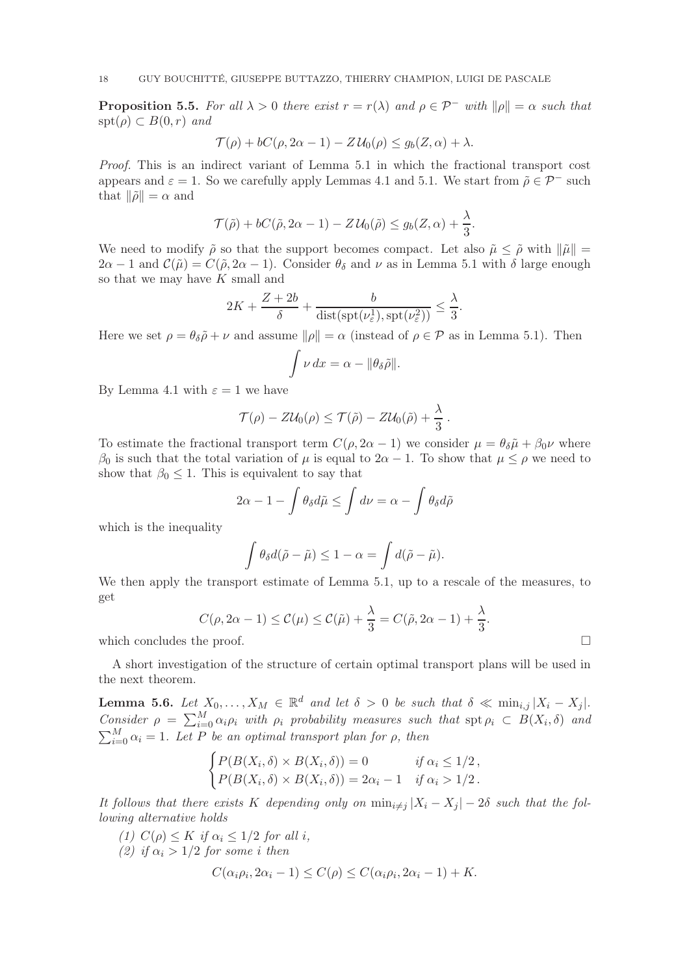**Proposition 5.5.** For all  $\lambda > 0$  there exist  $r = r(\lambda)$  and  $\rho \in \mathcal{P}^-$  with  $\|\rho\| = \alpha$  such that  $spt(\rho) \subset B(0,r)$  and

$$
\mathcal{T}(\rho) + bC(\rho, 2\alpha - 1) - Z\mathcal{U}_0(\rho) \le g_b(Z, \alpha) + \lambda.
$$

Proof. This is an indirect variant of Lemma 5.1 in which the fractional transport cost appears and  $\varepsilon = 1$ . So we carefully apply Lemmas 4.1 and 5.1. We start from  $\tilde{\rho} \in \mathcal{P}^-$  such that  $\|\tilde{\rho}\| = \alpha$  and

$$
\mathcal{T}(\tilde{\rho}) + bC(\tilde{\rho}, 2\alpha - 1) - Z\mathcal{U}_0(\tilde{\rho}) \le g_b(Z, \alpha) + \frac{\lambda}{3}.
$$

We need to modify  $\tilde{\rho}$  so that the support becomes compact. Let also  $\tilde{\mu} \leq \tilde{\rho}$  with  $\|\tilde{\mu}\|$  =  $2\alpha - 1$  and  $\mathcal{C}(\tilde{\mu}) = C(\tilde{\rho}, 2\alpha - 1)$ . Consider  $\theta_{\delta}$  and  $\nu$  as in Lemma 5.1 with  $\delta$  large enough so that we may have  $K$  small and

$$
2K + \frac{Z + 2b}{\delta} + \frac{b}{\text{dist}(\text{spt}(\nu^1_{\varepsilon}), \text{spt}(\nu^2_{\varepsilon}))} \leq \frac{\lambda}{3}.
$$

Here we set  $\rho = \theta_{\delta} \tilde{\rho} + \nu$  and assume  $\|\rho\| = \alpha$  (instead of  $\rho \in \mathcal{P}$  as in Lemma 5.1). Then

$$
\int \nu \, dx = \alpha - ||\theta_{\delta}\tilde{\rho}||.
$$

By Lemma 4.1 with  $\varepsilon = 1$  we have

$$
\mathcal{T}(\rho) - Z\mathcal{U}_0(\rho) \leq \mathcal{T}(\tilde{\rho}) - Z\mathcal{U}_0(\tilde{\rho}) + \frac{\lambda}{3}.
$$

To estimate the fractional transport term  $C(\rho, 2\alpha - 1)$  we consider  $\mu = \theta_{\delta} \tilde{\mu} + \beta_0 \nu$  where  $β_0$  is such that the total variation of  $\mu$  is equal to  $2\alpha - 1$ . To show that  $\mu ≤ \rho$  we need to show that  $\beta_0 \leq 1$ . This is equivalent to say that

$$
2\alpha - 1 - \int \theta_{\delta} d\tilde{\mu} \le \int d\nu = \alpha - \int \theta_{\delta} d\tilde{\rho}
$$

which is the inequality

$$
\int \theta_{\delta} d(\tilde{\rho} - \tilde{\mu}) \le 1 - \alpha = \int d(\tilde{\rho} - \tilde{\mu}).
$$

We then apply the transport estimate of Lemma 5.1, up to a rescale of the measures, to get

$$
C(\rho, 2\alpha - 1) \le C(\mu) \le C(\tilde{\mu}) + \frac{\lambda}{3} = C(\tilde{\rho}, 2\alpha - 1) + \frac{\lambda}{3}.
$$

which concludes the proof.

A short investigation of the structure of certain optimal transport plans will be used in the next theorem.

**Lemma 5.6.** Let  $X_0, \ldots, X_M \in \mathbb{R}^d$  and let  $\delta > 0$  be such that  $\delta \ll \min_{i,j} |X_i - X_j|$ . Consider  $\rho = \sum_{i=0}^{M} \alpha_i \rho_i$  with  $\rho_i$  probability measures such that  $\text{spt } \rho_i \subset B(X_i, \delta)$  and  $\sum_{i=0}^{M} \alpha_i = 1$ . Let P be an optimal transport plan for  $\rho$ , then

$$
\begin{cases}\nP(B(X_i, \delta) \times B(X_i, \delta)) = 0 & \text{if } \alpha_i \leq 1/2, \\
P(B(X_i, \delta) \times B(X_i, \delta)) = 2\alpha_i - 1 & \text{if } \alpha_i > 1/2.\n\end{cases}
$$

It follows that there exists K depending only on  $\min_{i \neq j} |X_i - X_j| - 2\delta$  such that the following alternative holds

- (1)  $C(\rho) \leq K$  if  $\alpha_i \leq 1/2$  for all i,
- (2) if  $\alpha_i > 1/2$  for some i then

$$
C(\alpha_i \rho_i, 2\alpha_i - 1) \le C(\rho) \le C(\alpha_i \rho_i, 2\alpha_i - 1) + K.
$$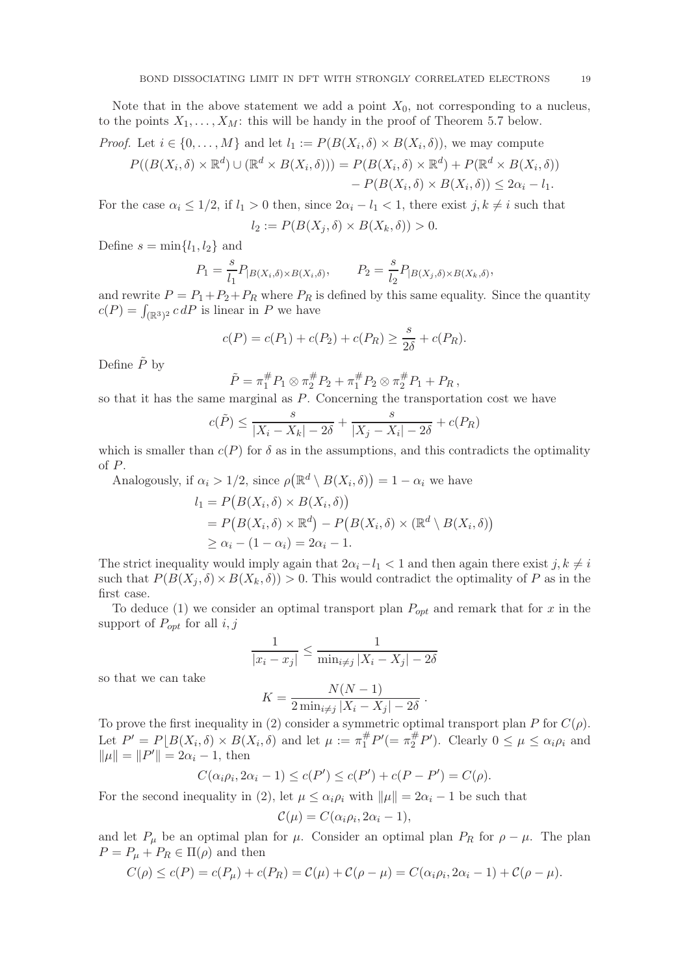Note that in the above statement we add a point  $X_0$ , not corresponding to a nucleus, to the points  $X_1, \ldots, X_M$ : this will be handy in the proof of Theorem 5.7 below.

*Proof.* Let 
$$
i \in \{0, ..., M\}
$$
 and let  $l_1 := P(B(X_i, \delta) \times B(X_i, \delta))$ , we may compute  
\n
$$
P((B(X_i, \delta) \times \mathbb{R}^d) \cup (\mathbb{R}^d \times B(X_i, \delta))) = P(B(X_i, \delta) \times \mathbb{R}^d) + P(\mathbb{R}^d \times B(X_i, \delta))
$$
\n
$$
- P(B(X_i, \delta) \times B(X_i, \delta)) \le 2\alpha_i - l_1.
$$

For the case  $\alpha_i \leq 1/2$ , if  $l_1 > 0$  then, since  $2\alpha_i - l_1 < 1$ , there exist  $j, k \neq i$  such that  $l_2 := P(B(X_i, \delta) \times B(X_k, \delta)) > 0.$ 

Define  $s = \min\{l_1, l_2\}$  and

$$
P_1 = \frac{s}{l_1} P_{|B(X_i, \delta) \times B(X_i, \delta)}, \qquad P_2 = \frac{s}{l_2} P_{|B(X_j, \delta) \times B(X_k, \delta)},
$$

and rewrite  $P = P_1 + P_2 + P_R$  where  $P_R$  is defined by this same equality. Since the quantity  $c(P) = \int_{(\mathbb{R}^3)^2} c dP$  is linear in P we have

$$
c(P) = c(P_1) + c(P_2) + c(P_R) \ge \frac{s}{2\delta} + c(P_R).
$$

Define  $\tilde{P}$  by

$$
\tilde{P} = \pi_1^{\#} P_1 \otimes \pi_2^{\#} P_2 + \pi_1^{\#} P_2 \otimes \pi_2^{\#} P_1 + P_R,
$$

so that it has the same marginal as P. Concerning the transportation cost we have

$$
c(\tilde{P}) \le \frac{s}{|X_i - X_k| - 2\delta} + \frac{s}{|X_j - X_i| - 2\delta} + c(P_R)
$$

which is smaller than  $c(P)$  for  $\delta$  as in the assumptions, and this contradicts the optimality of P.

Analogously, if  $\alpha_i > 1/2$ , since  $\rho(\mathbb{R}^d \setminus B(X_i, \delta)) = 1 - \alpha_i$  we have

$$
l_1 = P(B(X_i, \delta) \times B(X_i, \delta))
$$
  
=  $P(B(X_i, \delta) \times \mathbb{R}^d) - P(B(X_i, \delta) \times (\mathbb{R}^d \setminus B(X_i, \delta))$   
 $\ge \alpha_i - (1 - \alpha_i) = 2\alpha_i - 1.$ 

The strict inequality would imply again that  $2\alpha_i - l_1 < 1$  and then again there exist j,  $k \neq i$ such that  $P(B(X_i, \delta) \times B(X_k, \delta)) > 0$ . This would contradict the optimality of P as in the first case.

To deduce (1) we consider an optimal transport plan  $P_{opt}$  and remark that for x in the support of  $P_{opt}$  for all  $i, j$ 

$$
\frac{1}{|x_i - x_j|} \le \frac{1}{\min_{i \ne j} |X_i - X_j| - 2\delta}
$$

so that we can take

$$
K = \frac{N(N-1)}{2 \min_{i \neq j} |X_i - X_j| - 2\delta}.
$$

To prove the first inequality in (2) consider a symmetric optimal transport plan P for  $C(\rho)$ . Let  $P' = P \lfloor B(X_i, \delta) \times B(X_i, \delta) \rfloor$  and let  $\mu := \pi_1^{\#} P' = \pi_2^{\#} P'$ . Clearly  $0 \le \mu \le \alpha_i \rho_i$  and  $\|\mu\| = \|P'\| = 2\alpha_i - 1$ , then

$$
C(\alpha_i \rho_i, 2\alpha_i - 1) \le c(P') \le c(P') + c(P - P') = C(\rho).
$$

For the second inequality in (2), let  $\mu \leq \alpha_i \rho_i$  with  $\|\mu\| = 2\alpha_i - 1$  be such that

$$
\mathcal{C}(\mu) = C(\alpha_i \rho_i, 2\alpha_i - 1),
$$

and let  $P_\mu$  be an optimal plan for  $\mu$ . Consider an optimal plan  $P_R$  for  $\rho - \mu$ . The plan  $P = P_{\mu} + P_{R} \in \Pi(\rho)$  and then

$$
C(\rho) \le c(P) = c(P_\mu) + c(P_R) = C(\mu) + C(\rho - \mu) = C(\alpha_i \rho_i, 2\alpha_i - 1) + C(\rho - \mu).
$$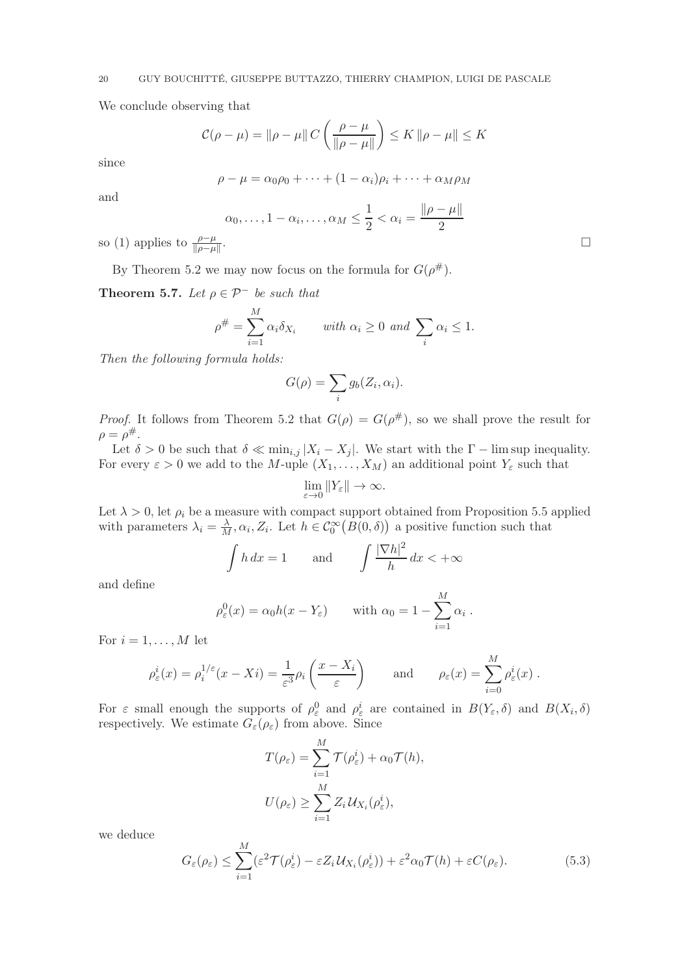We conclude observing that

$$
\mathcal{C}(\rho - \mu) = ||\rho - \mu|| C \left( \frac{\rho - \mu}{||\rho - \mu||} \right) \le K ||\rho - \mu|| \le K
$$

since

$$
\rho - \mu = \alpha_0 \rho_0 + \dots + (1 - \alpha_i) \rho_i + \dots + \alpha_M \rho_M
$$

and

$$
\alpha_0, \ldots, 1 - \alpha_i, \ldots, \alpha_M \le \frac{1}{2} < \alpha_i = \frac{\|\rho - \mu\|}{2}
$$

so (1) applies to  $\frac{\rho-\mu}{\|\rho-\mu\|}$ 

By Theorem 5.2 we may now focus on the formula for  $G(\rho^{\#})$ .

**Theorem 5.7.** Let  $\rho \in \mathcal{P}^-$  be such that

$$
\rho^{\#} = \sum_{i=1}^{M} \alpha_i \delta_{X_i} \qquad \text{with } \alpha_i \ge 0 \text{ and } \sum_i \alpha_i \le 1.
$$

Then the following formula holds:

$$
G(\rho) = \sum_{i} g_b(Z_i, \alpha_i).
$$

*Proof.* It follows from Theorem 5.2 that  $G(\rho) = G(\rho^{\#})$ , so we shall prove the result for  $\rho = \rho^{\#}.$ 

Let  $\delta > 0$  be such that  $\delta \ll \min_{i,j} |X_i - X_j|$ . We start with the  $\Gamma - \limsup$  inequality. For every  $\varepsilon > 0$  we add to the M-uple  $(X_1, \ldots, X_M)$  an additional point  $Y_\varepsilon$  such that

$$
\lim_{\varepsilon \to 0} \|Y_{\varepsilon}\| \to \infty.
$$

Let  $\lambda > 0$ , let  $\rho_i$  be a measure with compact support obtained from Proposition 5.5 applied with parameters  $\lambda_i = \frac{\lambda}{M}$ ,  $\alpha_i$ ,  $Z_i$ . Let  $h \in C_0^{\infty}(B(0, \delta))$  a positive function such that

$$
\int h \, dx = 1
$$
 and  $\int \frac{|\nabla h|^2}{h} \, dx < +\infty$ 

and define

$$
\rho_{\varepsilon}^{0}(x) = \alpha_{0}h(x - Y_{\varepsilon}) \quad \text{with } \alpha_{0} = 1 - \sum_{i=1}^{M} \alpha_{i} .
$$

For  $i = 1, \ldots, M$  let

$$
\rho_{\varepsilon}^{i}(x) = \rho_{i}^{1/\varepsilon}(x - Xi) = \frac{1}{\varepsilon^{3}} \rho_{i}\left(\frac{x - X_{i}}{\varepsilon}\right) \quad \text{and} \quad \rho_{\varepsilon}(x) = \sum_{i=0}^{M} \rho_{\varepsilon}^{i}(x) .
$$

For  $\varepsilon$  small enough the supports of  $\rho_{\varepsilon}^0$  and  $\rho_{\varepsilon}^i$  are contained in  $B(Y_{\varepsilon},\delta)$  and  $B(X_i,\delta)$ respectively. We estimate  $G_{\varepsilon}(\rho_{\varepsilon})$  from above. Since

$$
T(\rho_{\varepsilon}) = \sum_{i=1}^{M} \mathcal{T}(\rho_{\varepsilon}^{i}) + \alpha_0 \mathcal{T}(h),
$$
  

$$
U(\rho_{\varepsilon}) \ge \sum_{i=1}^{M} Z_i \mathcal{U}_{X_i}(\rho_{\varepsilon}^{i}),
$$

we deduce

$$
G_{\varepsilon}(\rho_{\varepsilon}) \leq \sum_{i=1}^{M} (\varepsilon^{2} \mathcal{T}(\rho_{\varepsilon}^{i}) - \varepsilon Z_{i} U_{X_{i}}(\rho_{\varepsilon}^{i})) + \varepsilon^{2} \alpha_{0} \mathcal{T}(h) + \varepsilon C(\rho_{\varepsilon}). \tag{5.3}
$$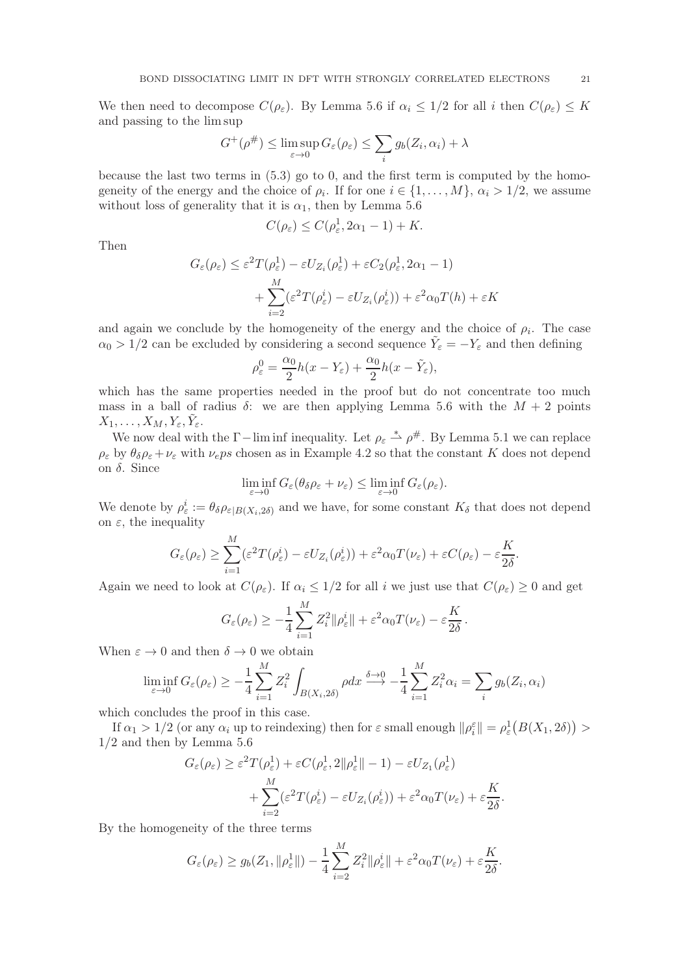We then need to decompose  $C(\rho_{\varepsilon})$ . By Lemma 5.6 if  $\alpha_i \leq 1/2$  for all i then  $C(\rho_{\varepsilon}) \leq K$ and passing to the lim sup

$$
G^+(\rho^\#) \le \limsup_{\varepsilon \to 0} G_\varepsilon(\rho_\varepsilon) \le \sum_i g_b(Z_i, \alpha_i) + \lambda
$$

because the last two terms in  $(5.3)$  go to 0, and the first term is computed by the homogeneity of the energy and the choice of  $\rho_i$ . If for one  $i \in \{1, ..., M\}$ ,  $\alpha_i > 1/2$ , we assume without loss of generality that it is  $\alpha_1$ , then by Lemma 5.6

$$
C(\rho_{\varepsilon}) \leq C(\rho_{\varepsilon}^1, 2\alpha_1 - 1) + K.
$$

Then

$$
G_{\varepsilon}(\rho_{\varepsilon}) \leq \varepsilon^{2} T(\rho_{\varepsilon}^{1}) - \varepsilon U_{Z_{i}}(\rho_{\varepsilon}^{1}) + \varepsilon C_{2}(\rho_{\varepsilon}^{1}, 2\alpha_{1} - 1)
$$
  
+ 
$$
\sum_{i=2}^{M} (\varepsilon^{2} T(\rho_{\varepsilon}^{i}) - \varepsilon U_{Z_{i}}(\rho_{\varepsilon}^{i})) + \varepsilon^{2} \alpha_{0} T(h) + \varepsilon K
$$

and again we conclude by the homogeneity of the energy and the choice of  $\rho_i$ . The case  $\alpha_0 > 1/2$  can be excluded by considering a second sequence  $\tilde{Y}_\varepsilon = -Y_\varepsilon$  and then defining

$$
\rho_{\varepsilon}^{0} = \frac{\alpha_{0}}{2}h(x - Y_{\varepsilon}) + \frac{\alpha_{0}}{2}h(x - \tilde{Y}_{\varepsilon}),
$$

which has the same properties needed in the proof but do not concentrate too much mass in a ball of radius  $\delta$ : we are then applying Lemma 5.6 with the  $M + 2$  points  $X_1,\ldots,X_M,Y_\varepsilon,\tilde Y_\varepsilon.$ 

We now deal with the  $\Gamma$ -lim inf inequality. Let  $\rho_{\varepsilon} \stackrel{*}{\rightharpoonup} \rho^{\#}$ . By Lemma 5.1 we can replace  $\rho_{\varepsilon}$  by  $\theta_{\delta}\rho_{\varepsilon}+\nu_{\varepsilon}$  with  $\nu_{\varepsilon}ps$  chosen as in Example 4.2 so that the constant K does not depend on  $\delta$ . Since

$$
\liminf_{\varepsilon \to 0} G_{\varepsilon}(\theta_{\delta} \rho_{\varepsilon} + \nu_{\varepsilon}) \le \liminf_{\varepsilon \to 0} G_{\varepsilon}(\rho_{\varepsilon}).
$$

We denote by  $\rho_{\varepsilon}^i := \theta_{\delta} \rho_{\varepsilon|B(X_i, 2\delta)}$  and we have, for some constant  $K_{\delta}$  that does not depend on  $\varepsilon$ , the inequality

$$
G_{\varepsilon}(\rho_{\varepsilon}) \geq \sum_{i=1}^{M} (\varepsilon^{2} T(\rho_{\varepsilon}^{i}) - \varepsilon U_{Z_{i}}(\rho_{\varepsilon}^{i})) + \varepsilon^{2} \alpha_{0} T(\nu_{\varepsilon}) + \varepsilon C(\rho_{\varepsilon}) - \varepsilon \frac{K}{2\delta}.
$$

Again we need to look at  $C(\rho_{\varepsilon})$ . If  $\alpha_i \leq 1/2$  for all i we just use that  $C(\rho_{\varepsilon}) \geq 0$  and get

$$
G_{\varepsilon}(\rho_{\varepsilon}) \geq -\frac{1}{4} \sum_{i=1}^{M} Z_i^2 \|\rho_{\varepsilon}^i\| + \varepsilon^2 \alpha_0 T(\nu_{\varepsilon}) - \varepsilon \frac{K}{2\delta}.
$$

When  $\varepsilon \to 0$  and then  $\delta \to 0$  we obtain

$$
\liminf_{\varepsilon \to 0} G_{\varepsilon}(\rho_{\varepsilon}) \ge -\frac{1}{4} \sum_{i=1}^{M} Z_i^2 \int_{B(X_i, 2\delta)} \rho dx \xrightarrow{\delta \to 0} -\frac{1}{4} \sum_{i=1}^{M} Z_i^2 \alpha_i = \sum_i g_b(Z_i, \alpha_i)
$$

which concludes the proof in this case.

If  $\alpha_1 > 1/2$  (or any  $\alpha_i$  up to reindexing) then for  $\varepsilon$  small enough  $\|\rho_i^{\varepsilon}\| = \rho_{\varepsilon}^1(B(X_1, 2\delta)) >$  $1/2$  and then by Lemma 5.6

$$
G_{\varepsilon}(\rho_{\varepsilon}) \geq \varepsilon^{2} T(\rho_{\varepsilon}^{1}) + \varepsilon C(\rho_{\varepsilon}^{1}, 2\|\rho_{\varepsilon}^{1}\| - 1) - \varepsilon U_{Z_{1}}(\rho_{\varepsilon}^{1}) + \sum_{i=2}^{M} (\varepsilon^{2} T(\rho_{\varepsilon}^{i}) - \varepsilon U_{Z_{i}}(\rho_{\varepsilon}^{i})) + \varepsilon^{2} \alpha_{0} T(\nu_{\varepsilon}) + \varepsilon \frac{K}{2\delta}.
$$

By the homogeneity of the three terms

$$
G_{\varepsilon}(\rho_{\varepsilon}) \ge g_b(Z_1, \|\rho_{\varepsilon}^1\|) - \frac{1}{4} \sum_{i=2}^M Z_i^2 \|\rho_{\varepsilon}^i\| + \varepsilon^2 \alpha_0 T(\nu_{\varepsilon}) + \varepsilon \frac{K}{2\delta}.
$$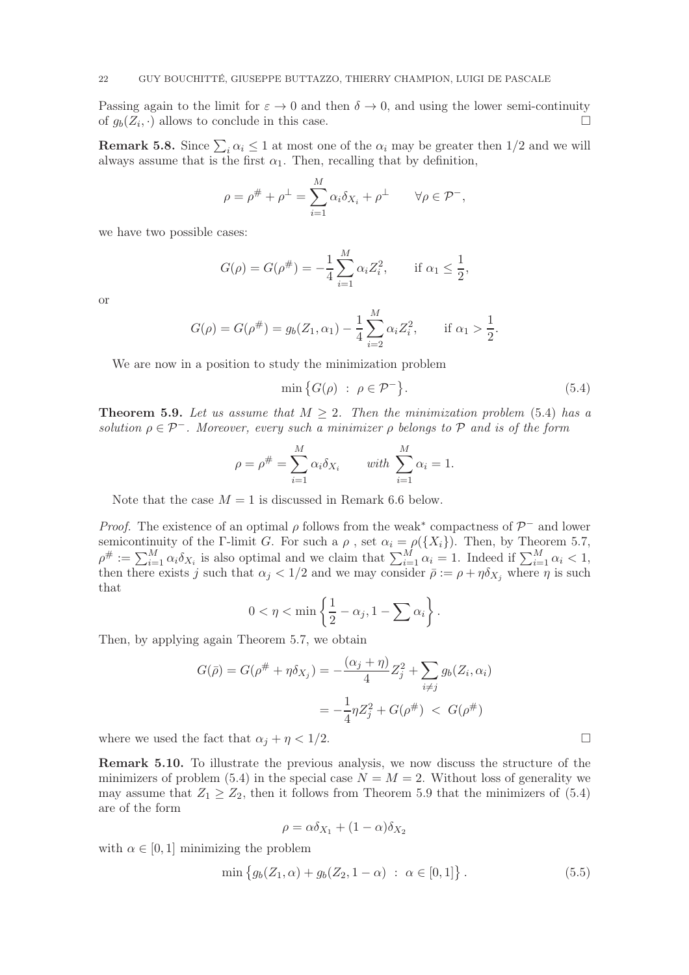Passing again to the limit for  $\varepsilon \to 0$  and then  $\delta \to 0$ , and using the lower semi-continuity of  $a_k(Z_k, \cdot)$  allows to conclude in this case. of  $g_b(Z_i, \cdot)$  allows to conclude in this case.

**Remark 5.8.** Since  $\sum_i \alpha_i \leq 1$  at most one of the  $\alpha_i$  may be greater then  $1/2$  and we will always assume that is the first  $\alpha_1$ . Then, recalling that by definition,

$$
\rho = \rho^{\#} + \rho^{\perp} = \sum_{i=1}^{M} \alpha_i \delta_{X_i} + \rho^{\perp} \qquad \forall \rho \in \mathcal{P}^-,
$$

we have two possible cases:

$$
G(\rho) = G(\rho^{\#}) = -\frac{1}{4} \sum_{i=1}^{M} \alpha_i Z_i^2, \quad \text{if } \alpha_1 \le \frac{1}{2},
$$

or

$$
G(\rho) = G(\rho^{\#}) = g_b(Z_1, \alpha_1) - \frac{1}{4} \sum_{i=2}^{M} \alpha_i Z_i^2, \quad \text{if } \alpha_1 > \frac{1}{2}.
$$

We are now in a position to study the minimization problem

$$
\min\big\{G(\rho) \ : \ \rho \in \mathcal{P}^- \big\}.
$$
\n
$$
(5.4)
$$

**Theorem 5.9.** Let us assume that  $M > 2$ . Then the minimization problem (5.4) has a solution  $\rho \in \mathcal{P}^-$ . Moreover, every such a minimizer  $\rho$  belongs to  $\mathcal P$  and is of the form

$$
\rho = \rho^{\#} = \sum_{i=1}^{M} \alpha_i \delta_{X_i} \quad \text{with } \sum_{i=1}^{M} \alpha_i = 1.
$$

Note that the case  $M = 1$  is discussed in Remark 6.6 below.

*Proof.* The existence of an optimal  $\rho$  follows from the weak<sup>\*</sup> compactness of  $\mathcal{P}^-$  and lower semicontinuity of the Γ-limit G. For such a  $\rho$ , set  $\alpha_i = \rho({X_i})$ . Then, by Theorem 5.7,  $\rho^{\#} := \sum_{i=1}^{M} \alpha_i \delta_{X_i}$  is also optimal and we claim that  $\sum_{i=1}^{M} \alpha_i = 1$ . Indeed if  $\sum_{i=1}^{M} \alpha_i < 1$ , then there exists j such that  $\alpha_j < 1/2$  and we may consider  $\bar{\rho} := \rho + \eta \delta_{X_j}$  where  $\eta$  is such that

$$
0 < \eta < \min\left\{\frac{1}{2} - \alpha_j, 1 - \sum \alpha_i\right\}.
$$

Then, by applying again Theorem 5.7, we obtain

$$
G(\bar{\rho}) = G(\rho^{\#} + \eta \delta_{X_j}) = -\frac{(\alpha_j + \eta)}{4} Z_j^2 + \sum_{i \neq j} g_b(Z_i, \alpha_i)
$$

$$
= -\frac{1}{4} \eta Z_j^2 + G(\rho^{\#}) < G(\rho^{\#})
$$

where we used the fact that  $\alpha_j + \eta < 1/2$ .

Remark 5.10. To illustrate the previous analysis, we now discuss the structure of the minimizers of problem (5.4) in the special case  $N = M = 2$ . Without loss of generality we may assume that  $Z_1 \geq Z_2$ , then it follows from Theorem 5.9 that the minimizers of (5.4) are of the form

$$
\rho = \alpha \delta_{X_1} + (1 - \alpha) \delta_{X_2}
$$

with  $\alpha \in [0, 1]$  minimizing the problem

$$
\min \{ g_b(Z_1, \alpha) + g_b(Z_2, 1 - \alpha) \; : \; \alpha \in [0, 1] \} \,. \tag{5.5}
$$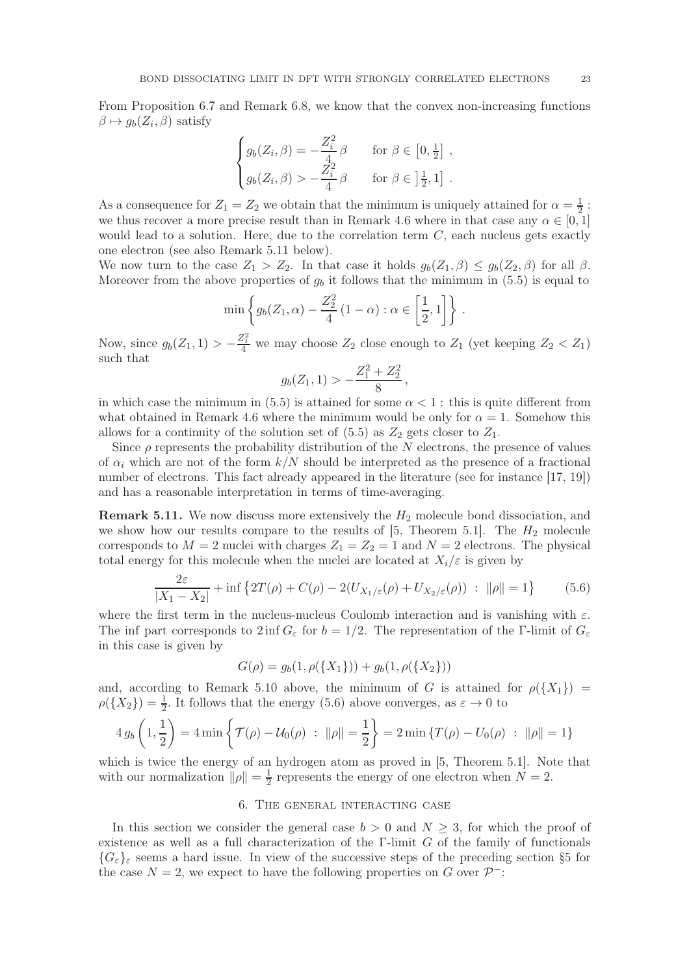From Proposition 6.7 and Remark 6.8, we know that the convex non-increasing functions  $\beta \mapsto g_b(Z_i, \beta)$  satisfy

$$
\begin{cases}\ng_b(Z_i, \beta) = -\frac{Z_i^2}{4} \beta & \text{for } \beta \in [0, \frac{1}{2}], \\
g_b(Z_i, \beta) > -\frac{Z_i^2}{4} \beta & \text{for } \beta \in ]\frac{1}{2}, 1].\n\end{cases}
$$

As a consequence for  $Z_1 = Z_2$  we obtain that the minimum is uniquely attained for  $\alpha = \frac{1}{2}$  $\frac{1}{2}$ : we thus recover a more precise result than in Remark 4.6 where in that case any  $\alpha \in [0,1]$ would lead to a solution. Here, due to the correlation term  $C$ , each nucleus gets exactly one electron (see also Remark 5.11 below).

We now turn to the case  $Z_1 > Z_2$ . In that case it holds  $g_b(Z_1, \beta) \le g_b(Z_2, \beta)$  for all  $\beta$ . Moreover from the above properties of  $g<sub>b</sub>$  it follows that the minimum in (5.5) is equal to

$$
\min\left\{g_b(Z_1,\alpha)-\frac{Z_2^2}{4}\left(1-\alpha\right):\alpha\in\left[\frac{1}{2},1\right]\right\}.
$$

Now, since  $g_b(Z_1, 1) > -\frac{Z_1^2}{4}$  we may choose  $Z_2$  close enough to  $Z_1$  (yet keeping  $Z_2 < Z_1$ ) such that

$$
g_b(Z_1, 1) > -\frac{Z_1^2 + Z_2^2}{8},
$$

in which case the minimum in (5.5) is attained for some  $\alpha < 1$ : this is quite different from what obtained in Remark 4.6 where the minimum would be only for  $\alpha = 1$ . Somehow this allows for a continuity of the solution set of  $(5.5)$  as  $Z_2$  gets closer to  $Z_1$ .

Since  $\rho$  represents the probability distribution of the N electrons, the presence of values of  $\alpha_i$  which are not of the form  $k/N$  should be interpreted as the presence of a fractional number of electrons. This fact already appeared in the literature (see for instance [17, 19]) and has a reasonable interpretation in terms of time-averaging.

**Remark 5.11.** We now discuss more extensively the  $H_2$  molecule bond dissociation, and we show how our results compare to the results of  $[5,$  Theorem 5.1. The  $H_2$  molecule corresponds to  $M = 2$  nuclei with charges  $Z_1 = Z_2 = 1$  and  $N = 2$  electrons. The physical total energy for this molecule when the nuclei are located at  $X_i/\varepsilon$  is given by

$$
\frac{2\varepsilon}{|X_1 - X_2|} + \inf \left\{ 2T(\rho) + C(\rho) - 2(U_{X_1/\varepsilon}(\rho) + U_{X_2/\varepsilon}(\rho)) \ : \ \|\rho\| = 1 \right\} \tag{5.6}
$$

where the first term in the nucleus-nucleus Coulomb interaction and is vanishing with  $\varepsilon$ . The inf part corresponds to  $2 \text{ inf } G_{\varepsilon}$  for  $b = 1/2$ . The representation of the Γ-limit of  $G_{\varepsilon}$ in this case is given by

$$
G(\rho)=g_b(1,\rho(\{X_1\}))+g_b(1,\rho(\{X_2\}))
$$

and, according to Remark 5.10 above, the minimum of G is attained for  $\rho({X_1})$  =  $\rho({X_2}) = \frac{1}{2}$ . It follows that the energy (5.6) above converges, as  $\varepsilon \to 0$  to

$$
4 g_b\left(1, \frac{1}{2}\right) = 4 \min \left\{ \mathcal{T}(\rho) - \mathcal{U}_0(\rho) \ : \ \|\rho\| = \frac{1}{2} \right\} = 2 \min \left\{ T(\rho) - U_0(\rho) \ : \ \|\rho\| = 1 \right\}
$$

which is twice the energy of an hydrogen atom as proved in [5, Theorem 5.1]. Note that with our normalization  $\|\rho\| = \frac{1}{2}$  $\frac{1}{2}$  represents the energy of one electron when  $N = 2$ .

## 6. The general interacting case

In this section we consider the general case  $b > 0$  and  $N \geq 3$ , for which the proof of existence as well as a full characterization of the  $\Gamma$ -limit G of the family of functionals  ${G_{\varepsilon}}_{\varepsilon}$  seems a hard issue. In view of the successive steps of the preceding section §5 for the case  $N = 2$ , we expect to have the following properties on G over  $\mathcal{P}^-$ :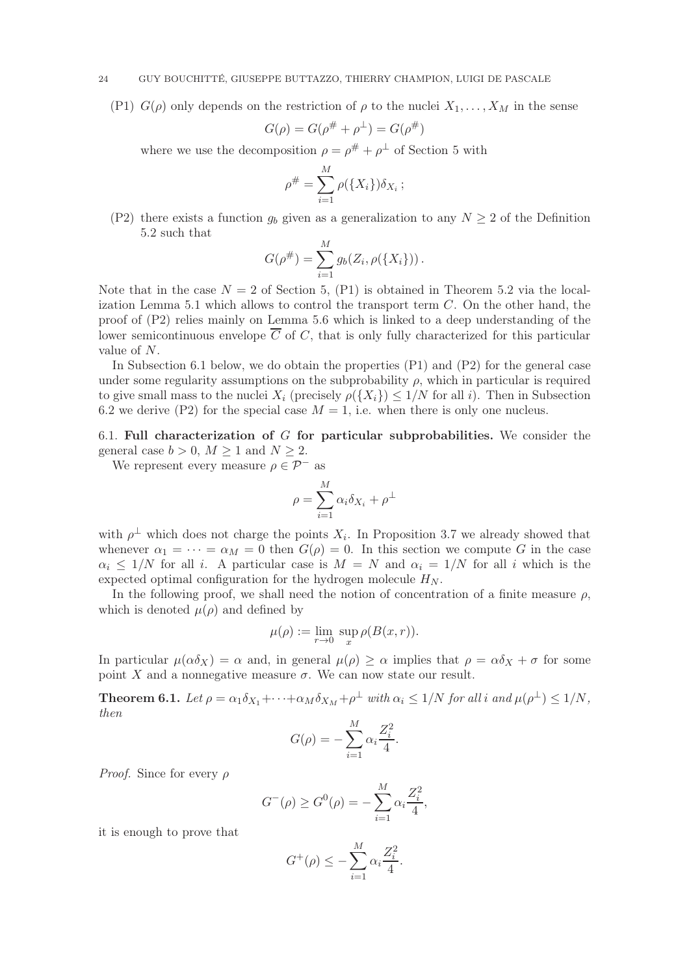#### 24 GUY BOUCHITTÉ, GIUSEPPE BUTTAZZO, THIERRY CHAMPION, LUIGI DE PASCALE

(P1)  $G(\rho)$  only depends on the restriction of  $\rho$  to the nuclei  $X_1, \ldots, X_M$  in the sense

$$
G(\rho) = G(\rho^{\#} + \rho^{\perp}) = G(\rho^{\#})
$$

where we use the decomposition  $\rho = \rho^{\#} + \rho^{\perp}$  of Section 5 with

$$
\rho^{\#} = \sum_{i=1}^{M} \rho(\{X_i\}) \delta_{X_i} ;
$$

(P2) there exists a function  $g_b$  given as a generalization to any  $N \geq 2$  of the Definition 5.2 such that

$$
G(\rho^{\#}) = \sum_{i=1}^{M} g_b(Z_i, \rho(\lbrace X_i \rbrace)).
$$

Note that in the case  $N = 2$  of Section 5, (P1) is obtained in Theorem 5.2 via the localization Lemma 5.1 which allows to control the transport term  $C$ . On the other hand, the proof of (P2) relies mainly on Lemma 5.6 which is linked to a deep understanding of the lower semicontinuous envelope  $\overline{C}$  of C, that is only fully characterized for this particular value of N.

In Subsection 6.1 below, we do obtain the properties (P1) and (P2) for the general case under some regularity assumptions on the subprobability  $\rho$ , which in particular is required to give small mass to the nuclei  $X_i$  (precisely  $\rho({X_i}) \leq 1/N$  for all i). Then in Subsection 6.2 we derive (P2) for the special case  $M = 1$ , i.e. when there is only one nucleus.

6.1. Full characterization of  $G$  for particular subprobabilities. We consider the general case  $b > 0$ ,  $M > 1$  and  $N > 2$ .

We represent every measure  $\rho \in \mathcal{P}^-$  as

$$
\rho = \sum_{i=1}^M \alpha_i \delta_{X_i} + \rho^\perp
$$

with  $\rho^{\perp}$  which does not charge the points  $X_i$ . In Proposition 3.7 we already showed that whenever  $\alpha_1 = \cdots = \alpha_M = 0$  then  $G(\rho) = 0$ . In this section we compute G in the case  $\alpha_i$  < 1/N for all i. A particular case is  $M = N$  and  $\alpha_i = 1/N$  for all i which is the expected optimal configuration for the hydrogen molecule  $H_N$ .

In the following proof, we shall need the notion of concentration of a finite measure  $\rho$ , which is denoted  $\mu(\rho)$  and defined by

$$
\mu(\rho) := \lim_{r \to 0} \ \sup_x \rho(B(x, r)).
$$

In particular  $\mu(\alpha \delta_X) = \alpha$  and, in general  $\mu(\rho) \ge \alpha$  implies that  $\rho = \alpha \delta_X + \sigma$  for some point X and a nonnegative measure  $\sigma$ . We can now state our result.

**Theorem 6.1.** Let  $\rho = \alpha_1 \delta_{X_1} + \cdots + \alpha_M \delta_{X_M} + \rho^{\perp}$  with  $\alpha_i \leq 1/N$  for all i and  $\mu(\rho^{\perp}) \leq 1/N$ , then

$$
G(\rho) = -\sum_{i=1}^{M} \alpha_i \frac{Z_i^2}{4}.
$$

*Proof.* Since for every  $\rho$ 

$$
G^{-}(\rho) \ge G^{0}(\rho) = -\sum_{i=1}^{M} \alpha_{i} \frac{Z_{i}^{2}}{4},
$$

it is enough to prove that

$$
G^+(\rho) \le -\sum_{i=1}^M \alpha_i \frac{Z_i^2}{4}.
$$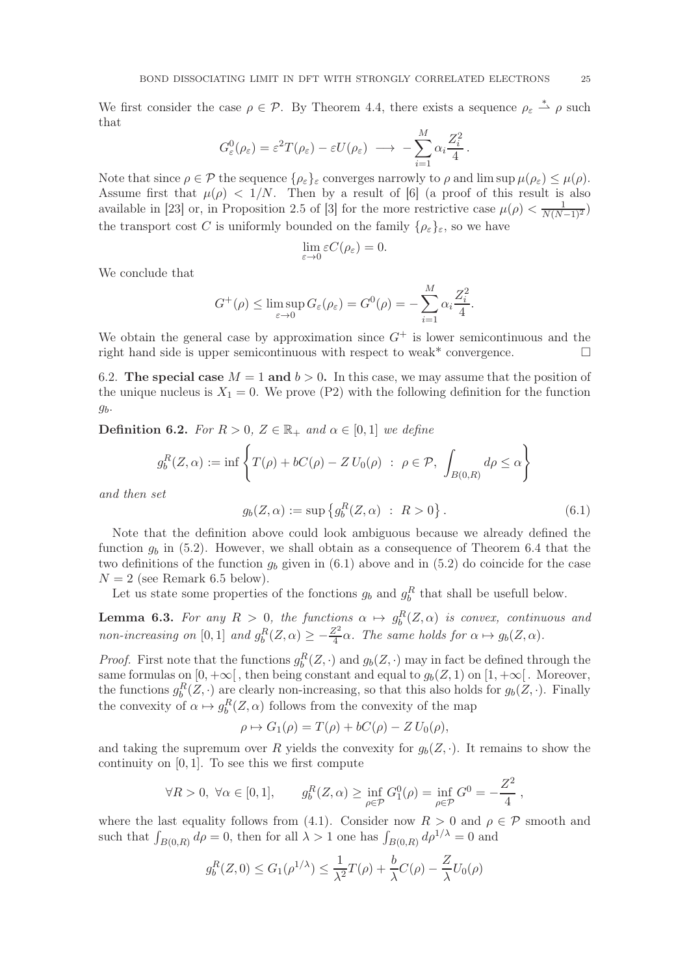We first consider the case  $\rho \in \mathcal{P}$ . By Theorem 4.4, there exists a sequence  $\rho_{\varepsilon} \stackrel{*}{\rightharpoonup} \rho$  such that

$$
G_{\varepsilon}^{0}(\rho_{\varepsilon}) = \varepsilon^{2} T(\rho_{\varepsilon}) - \varepsilon U(\rho_{\varepsilon}) \longrightarrow -\sum_{i=1}^{M} \alpha_{i} \frac{Z_{i}^{2}}{4}
$$

Note that since  $\rho \in \mathcal{P}$  the sequence  $\{\rho_{\varepsilon}\}_\varepsilon$  converges narrowly to  $\rho$  and lim sup  $\mu(\rho_{\varepsilon}) \leq \mu(\rho)$ . Assume first that  $\mu(\rho) < 1/N$ . Then by a result of [6] (a proof of this result is also available in [23] or, in Proposition 2.5 of [3] for the more restrictive case  $\mu(\rho) < \frac{1}{N(N-1)^2}$ the transport cost C is uniformly bounded on the family  $\{\rho_{\varepsilon}\}_{\varepsilon}$ , so we have

$$
\lim_{\varepsilon \to 0} \varepsilon C(\rho_{\varepsilon}) = 0.
$$

We conclude that

$$
G^+(\rho) \leq \limsup_{\varepsilon \to 0} G_{\varepsilon}(\rho_{\varepsilon}) = G^0(\rho) = -\sum_{i=1}^M \alpha_i \frac{Z_i^2}{4}.
$$

We obtain the general case by approximation since  $G^+$  is lower semicontinuous and the right hand side is upper semicontinuous with respect to weak\* convergence.

6.2. The special case  $M = 1$  and  $b > 0$ . In this case, we may assume that the position of the unique nucleus is  $X_1 = 0$ . We prove (P2) with the following definition for the function  $g<sub>b</sub>$ .

**Definition 6.2.** For  $R > 0$ ,  $Z \in \mathbb{R}_+$  and  $\alpha \in [0,1]$  we define

$$
g_b^R(Z,\alpha) := \inf \left\{ T(\rho) + bC(\rho) - Z U_0(\rho) \ : \ \rho \in \mathcal{P}, \ \int_{B(0,R)} d\rho \le \alpha \right\}
$$

and then set

$$
g_b(Z, \alpha) := \sup \{ g_b^R(Z, \alpha) : R > 0 \}.
$$
 (6.1)

.

Note that the definition above could look ambiguous because we already defined the function  $g_b$  in  $(5.2)$ . However, we shall obtain as a consequence of Theorem 6.4 that the two definitions of the function  $g_b$  given in (6.1) above and in (5.2) do coincide for the case  $N = 2$  (see Remark 6.5 below).

Let us state some properties of the fonctions  $g_b$  and  $g_b^R$  that shall be usefull below.

**Lemma 6.3.** For any  $R > 0$ , the functions  $\alpha \mapsto g_b^R(Z, \alpha)$  is convex, continuous and non-increasing on  $[0,1]$  and  $g_b^R(Z, \alpha) \geq -\frac{Z^2}{4}\alpha$ . The same holds for  $\alpha \mapsto g_b(Z, \alpha)$ .

*Proof.* First note that the functions  $g_b^R(Z, \cdot)$  and  $g_b(Z, \cdot)$  may in fact be defined through the same formulas on  $[0, +\infty]$ , then being constant and equal to  $g_b(Z, 1)$  on  $[1, +\infty]$ . Moreover, the functions  $g_b^R(Z, \cdot)$  are clearly non-increasing, so that this also holds for  $g_b(Z, \cdot)$ . Finally the convexity of  $\alpha \mapsto g_b^R(Z, \alpha)$  follows from the convexity of the map

$$
\rho \mapsto G_1(\rho) = T(\rho) + bC(\rho) - Z U_0(\rho),
$$

and taking the supremum over R yields the convexity for  $g_b(Z, \cdot)$ . It remains to show the continuity on  $[0, 1]$ . To see this we first compute

$$
\forall R > 0, \ \forall \alpha \in [0, 1], \qquad g_b^R(Z, \alpha) \ge \inf_{\rho \in \mathcal{P}} G_1^0(\rho) = \inf_{\rho \in \mathcal{P}} G^0 = -\frac{Z^2}{4},
$$

where the last equality follows from (4.1). Consider now  $R > 0$  and  $\rho \in \mathcal{P}$  smooth and such that  $\int_{B(0,R)} d\rho = 0$ , then for all  $\lambda > 1$  one has  $\int_{B(0,R)} d\rho^{1/\lambda} = 0$  and

$$
g_b^R(Z,0) \le G_1(\rho^{1/\lambda}) \le \frac{1}{\lambda^2}T(\rho) + \frac{b}{\lambda}C(\rho) - \frac{Z}{\lambda}U_0(\rho)
$$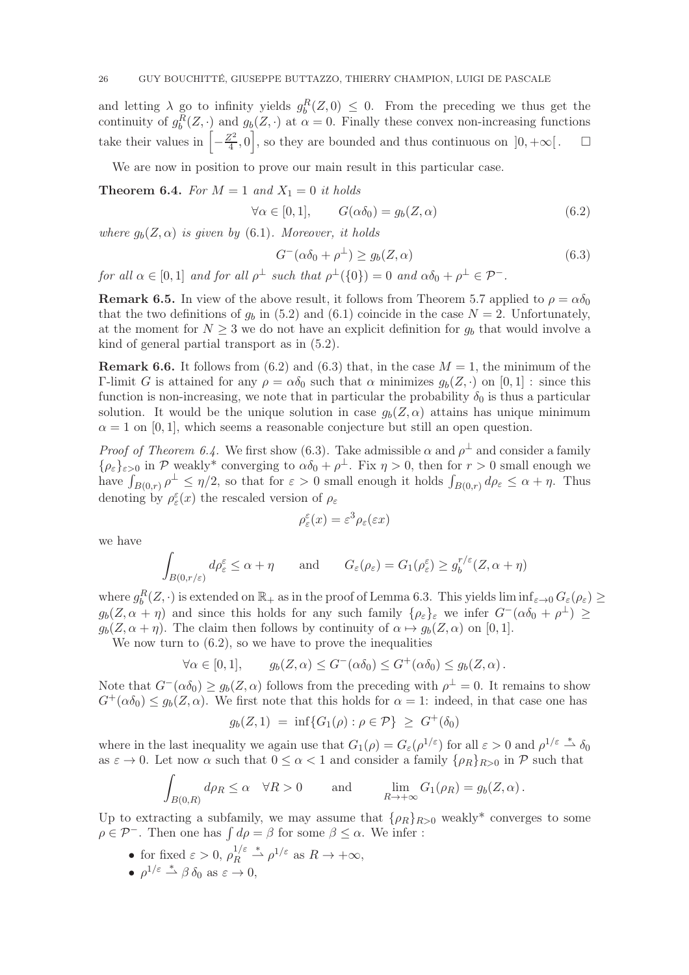and letting  $\lambda$  go to infinity yields  $g_b^R(Z,0) \leq 0$ . From the preceding we thus get the continuity of  $g_b^R(Z, \cdot)$  and  $g_b(Z, \cdot)$  at  $\alpha = 0$ . Finally these convex non-increasing functions take their values in  $\left[-\frac{Z^2}{4}\right]$  $\left[\frac{\mathbf{Z}^2}{4}, 0\right]$ , so they are bounded and thus continuous on  $]0, +\infty[$ .  $\Box$ 

We are now in position to prove our main result in this particular case.

**Theorem 6.4.** For  $M = 1$  and  $X_1 = 0$  it holds

$$
\forall \alpha \in [0, 1], \qquad G(\alpha \delta_0) = g_b(Z, \alpha) \tag{6.2}
$$

where  $g_b(Z, \alpha)$  is given by (6.1). Moreover, it holds

$$
G^{-}(\alpha \delta_0 + \rho^{\perp}) \ge g_b(Z, \alpha) \tag{6.3}
$$

for all  $\alpha \in [0,1]$  and for all  $\rho^{\perp}$  such that  $\rho^{\perp}(\{0\}) = 0$  and  $\alpha \delta_0 + \rho^{\perp} \in \mathcal{P}^-$ .

**Remark 6.5.** In view of the above result, it follows from Theorem 5.7 applied to  $\rho = \alpha \delta_0$ that the two definitions of  $g_b$  in (5.2) and (6.1) coincide in the case  $N = 2$ . Unfortunately, at the moment for  $N \geq 3$  we do not have an explicit definition for  $g_b$  that would involve a kind of general partial transport as in (5.2).

**Remark 6.6.** It follows from (6.2) and (6.3) that, in the case  $M = 1$ , the minimum of the Γ-limit G is attained for any  $ρ = αδ_0$  such that  $α$  minimizes  $g_b(Z, \cdot)$  on [0, 1] : since this function is non-increasing, we note that in particular the probability  $\delta_0$  is thus a particular solution. It would be the unique solution in case  $g_b(Z, \alpha)$  attains has unique minimum  $\alpha = 1$  on [0, 1], which seems a reasonable conjecture but still an open question.

*Proof of Theorem 6.4.* We first show (6.3). Take admissible  $\alpha$  and  $\rho^{\perp}$  and consider a family  $\{\rho_{\varepsilon}\}_{{\varepsilon}>0}$  in P weakly\* converging to  $\alpha\delta_0 + \rho^{\perp}$ . Fix  $\eta > 0$ , then for  $r > 0$  small enough we have  $\int_{B(0,r)} \rho^{\perp} \leq \eta/2$ , so that for  $\varepsilon > 0$  small enough it holds  $\int_{B(0,r)} d\rho_{\varepsilon} \leq \alpha + \eta$ . Thus denoting by  $\rho_{\varepsilon}^{\varepsilon}(x)$  the rescaled version of  $\rho_{\varepsilon}$ 

$$
\rho_{\varepsilon}^{\varepsilon}(x) = \varepsilon^3 \rho_{\varepsilon}(\varepsilon x)
$$

we have

$$
\int_{B(0,r/\varepsilon)} d\rho_{\varepsilon}^{\varepsilon} \leq \alpha + \eta \quad \text{and} \quad G_{\varepsilon}(\rho_{\varepsilon}) = G_1(\rho_{\varepsilon}^{\varepsilon}) \geq g_b^{r/\varepsilon}(Z, \alpha + \eta)
$$

where  $g_b^R(Z, \cdot)$  is extended on  $\mathbb{R}_+$  as in the proof of Lemma 6.3. This yields  $\liminf_{\varepsilon \to 0} G_{\varepsilon}(\rho_{\varepsilon}) \ge$  $g_b(Z, \alpha + \eta)$  and since this holds for any such family  $\{\rho_{\varepsilon}\}_\varepsilon$  we infer  $G^{-}(\alpha \delta_0 + \rho^{\perp}) \ge$  $g_b(Z, \alpha + \eta)$ . The claim then follows by continuity of  $\alpha \mapsto g_b(Z, \alpha)$  on [0, 1].

We now turn to  $(6.2)$ , so we have to prove the inequalities

$$
\forall \alpha \in [0,1], \qquad g_b(Z,\alpha) \le G^-(\alpha \delta_0) \le G^+(\alpha \delta_0) \le g_b(Z,\alpha).
$$

Note that  $G^{-}(\alpha \delta_0) \geq g_b(Z, \alpha)$  follows from the preceding with  $\rho^{\perp} = 0$ . It remains to show  $G^+(\alpha \delta_0) \leq g_b(Z, \alpha)$ . We first note that this holds for  $\alpha = 1$ : indeed, in that case one has

$$
g_b(Z,1) = \inf\{G_1(\rho) : \rho \in \mathcal{P}\} \ge G^+(\delta_0)
$$

where in the last inequality we again use that  $G_1(\rho) = G_{\varepsilon}(\rho^{1/\varepsilon})$  for all  $\varepsilon > 0$  and  $\rho^{1/\varepsilon} \stackrel{*}{\rightharpoonup} \delta_0$ as  $\varepsilon \to 0$ . Let now  $\alpha$  such that  $0 \leq \alpha < 1$  and consider a family  $\{\rho_R\}_{R>0}$  in  $\mathcal P$  such that

$$
\int_{B(0,R)} d\rho_R \le \alpha \quad \forall R > 0 \quad \text{and} \quad \lim_{R \to +\infty} G_1(\rho_R) = g_b(Z,\alpha) .
$$

Up to extracting a subfamily, we may assume that  $\{\rho_R\}_{R>0}$  weakly<sup>\*</sup> converges to some  $\rho \in \mathcal{P}^-$ . Then one has  $\int d\rho = \beta$  for some  $\beta \leq \alpha$ . We infer :

- for fixed  $\varepsilon > 0$ ,  $\rho_R^{1/\varepsilon}$  $R^{1/\varepsilon} \overset{*}{\rightharpoonup} \rho^{1/\varepsilon}$  as  $R \to +\infty$ ,
- $\rho^{1/\varepsilon} \stackrel{*}{\rightharpoonup} \beta \, \delta_0 \text{ as } \varepsilon \to 0,$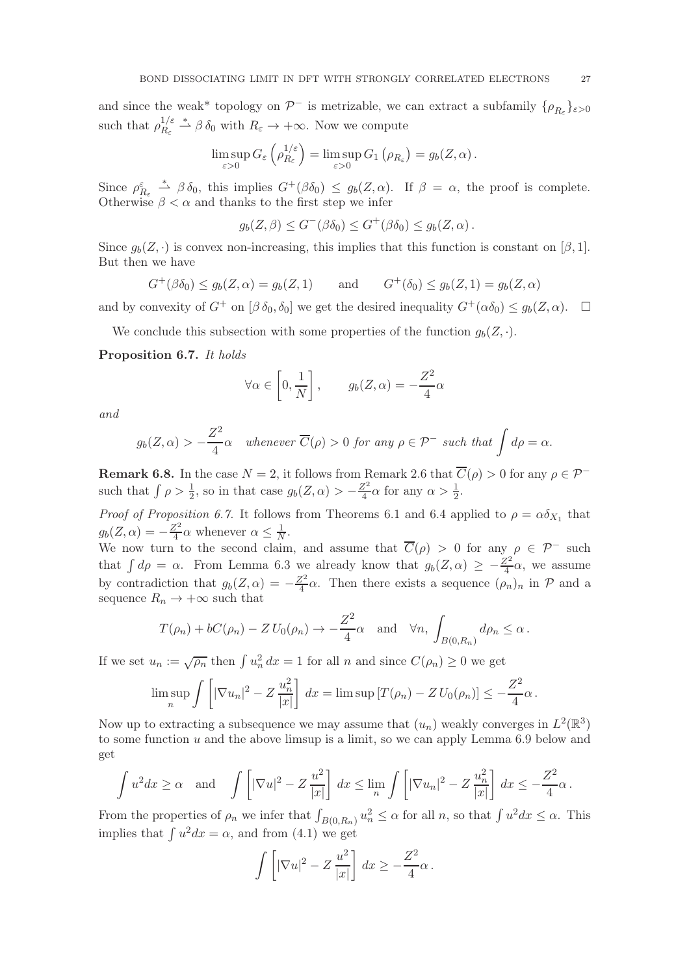and since the weak\* topology on  $\mathcal{P}^-$  is metrizable, we can extract a subfamily  $\{\rho_{R_\varepsilon}\}_{{\varepsilon}>0}$ such that  $\rho_{R_c}^{1/\varepsilon}$  $\frac{1/\varepsilon}{R_{\varepsilon}} \stackrel{*}{\rightharpoonup} \beta \, \delta_0$  with  $R_{\varepsilon} \to +\infty$ . Now we compute

$$
\limsup_{\varepsilon>0} G_{\varepsilon}\left(\rho_{R_{\varepsilon}}^{1/\varepsilon}\right) = \limsup_{\varepsilon>0} G_{1}\left(\rho_{R_{\varepsilon}}\right) = g_{b}(Z,\alpha).
$$

Since  $\rho_{R_{\varepsilon}}^{\varepsilon} \stackrel{*}{\longrightarrow} \beta \delta_0$ , this implies  $G^+(\beta \delta_0) \leq g_b(Z, \alpha)$ . If  $\beta = \alpha$ , the proof is complete. Otherwise  $\beta < \alpha$  and thanks to the first step we infer

$$
g_b(Z,\beta) \le G^-(\beta \delta_0) \le G^+(\beta \delta_0) \le g_b(Z,\alpha) .
$$

Since  $q_b(Z, \cdot)$  is convex non-increasing, this implies that this function is constant on [β, 1]. But then we have

$$
G^+(\beta \delta_0) \le g_b(Z, \alpha) = g_b(Z, 1)
$$
 and  $G^+(\delta_0) \le g_b(Z, 1) = g_b(Z, \alpha)$ 

and by convexity of  $G^+$  on  $[\beta \delta_0, \delta_0]$  we get the desired inequality  $G^+(\alpha \delta_0) \leq g_b(Z, \alpha)$ .  $\Box$ 

We conclude this subsection with some properties of the function  $g_b(Z, \cdot)$ .

### Proposition 6.7. It holds

$$
\forall \alpha \in \left[0, \frac{1}{N}\right], \qquad g_b(Z, \alpha) = -\frac{Z^2}{4} \alpha
$$

and

$$
g_b(Z, \alpha) > -\frac{Z^2}{4}\alpha
$$
 whenever  $\overline{C}(\rho) > 0$  for any  $\rho \in \mathcal{P}^-$  such that  $\int d\rho = \alpha$ .

**Remark 6.8.** In the case  $N = 2$ , it follows from Remark 2.6 that  $\overline{C}(\rho) > 0$  for any  $\rho \in \mathcal{P}^{-}$ such that  $\int \rho > \frac{1}{2}$ , so in that case  $g_b(Z, \alpha) > -\frac{Z^2}{4}$  $\frac{Z^2}{4}\alpha$  for any  $\alpha > \frac{1}{2}$ .

*Proof of Proposition 6.7.* It follows from Theorems 6.1 and 6.4 applied to  $\rho = \alpha \delta_{X_1}$  that  $g_b(Z, \alpha) = -\frac{Z^2}{4}$  $\frac{Z^2}{4}\alpha$  whenever  $\alpha \leq \frac{1}{N}$  $\frac{1}{N}$ .

We now turn to the second claim, and assume that  $\overline{C}(\rho) > 0$  for any  $\rho \in \mathcal{P}^-$  such that  $\int d\rho = \alpha$ . From Lemma 6.3 we already know that  $g_b(Z, \alpha) \geq -\frac{Z^2}{4}$  $\frac{2^2}{4}\alpha$ , we assume by contradiction that  $g_b(Z, \alpha) = -\frac{Z^2}{4}$  $\frac{\gamma^2}{4} \alpha$ . Then there exists a sequence  $(\rho_n)_n$  in  $\mathcal P$  and a sequence  $R_n \to +\infty$  such that

$$
T(\rho_n) + bC(\rho_n) - Z U_0(\rho_n) \to -\frac{Z^2}{4} \alpha
$$
 and  $\forall n, \int_{B(0,R_n)} d\rho_n \leq \alpha$ .

If we set  $u_n := \sqrt{\rho_n}$  then  $\int u_n^2 dx = 1$  for all n and since  $C(\rho_n) \geq 0$  we get

$$
\limsup_{n} \int \left[ |\nabla u_n|^2 - Z \frac{u_n^2}{|x|} \right] dx = \limsup \left[ T(\rho_n) - Z U_0(\rho_n) \right] \le -\frac{Z^2}{4} \alpha.
$$

Now up to extracting a subsequence we may assume that  $(u_n)$  weakly converges in  $L^2(\mathbb{R}^3)$ to some function  $u$  and the above limsup is a limit, so we can apply Lemma 6.9 below and get

$$
\int u^2 dx \ge \alpha \quad \text{and} \quad \int \left[ |\nabla u|^2 - Z \frac{u^2}{|x|} \right] dx \le \lim_{n} \int \left[ |\nabla u_n|^2 - Z \frac{u_n^2}{|x|} \right] dx \le -\frac{Z^2}{4} \alpha \, .
$$

From the properties of  $\rho_n$  we infer that  $\int_{B(0,R_n)} u_n^2 \leq \alpha$  for all n, so that  $\int u^2 dx \leq \alpha$ . This implies that  $\int u^2 dx = \alpha$ , and from (4.1) we get

$$
\int \left[ |\nabla u|^2 - Z \frac{u^2}{|x|} \right] dx \ge -\frac{Z^2}{4} \alpha.
$$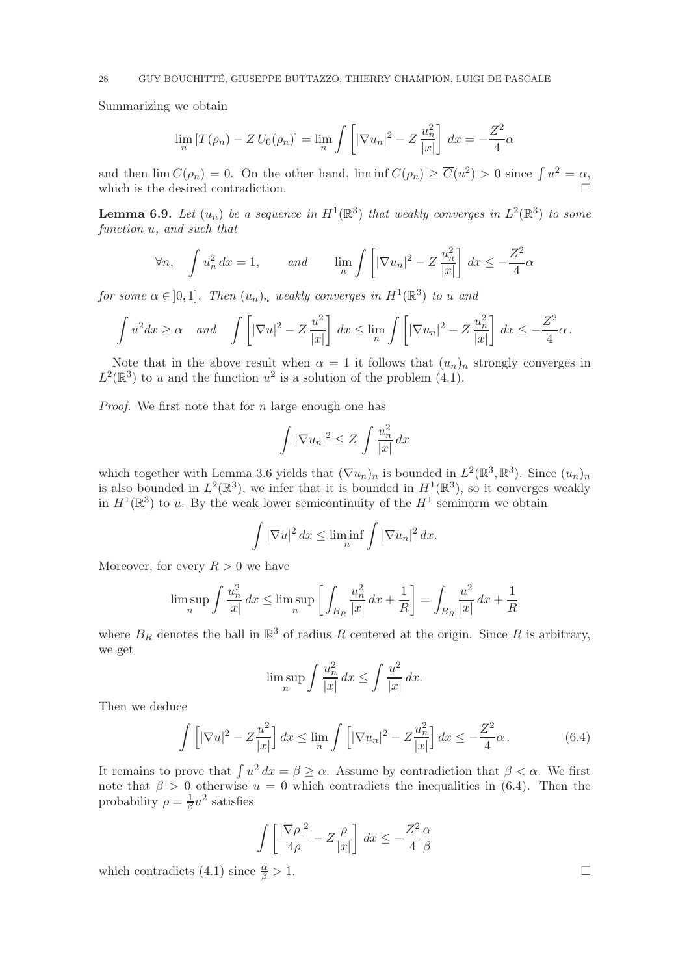Summarizing we obtain

$$
\lim_{n} \left[ T(\rho_n) - Z U_0(\rho_n) \right] = \lim_{n} \int \left[ |\nabla u_n|^2 - Z \frac{u_n^2}{|x|} \right] dx = -\frac{Z^2}{4} \alpha
$$

and then  $\lim C(\rho_n) = 0$ . On the other hand,  $\liminf C(\rho_n) \geq \overline{C}(u^2) > 0$  since  $\int u^2 = \alpha$ , which is the desired contradiction.

**Lemma 6.9.** Let  $(u_n)$  be a sequence in  $H^1(\mathbb{R}^3)$  that weakly converges in  $L^2(\mathbb{R}^3)$  to some function u, and such that

$$
\forall n, \quad \int u_n^2 \, dx = 1, \qquad \text{and} \qquad \lim_{n} \int \left[ |\nabla u_n|^2 - Z \frac{u_n^2}{|x|} \right] \, dx \le -\frac{Z^2}{4} \alpha
$$

for some  $\alpha \in ]0,1]$ . Then  $(u_n)_n$  weakly converges in  $H^1(\mathbb{R}^3)$  to u and

$$
\int u^2 dx \ge \alpha \quad \text{and} \quad \int \left[ |\nabla u|^2 - Z \frac{u^2}{|x|} \right] dx \le \lim_{n} \int \left[ |\nabla u_n|^2 - Z \frac{u_n^2}{|x|} \right] dx \le -\frac{Z^2}{4} \alpha \, .
$$

Note that in the above result when  $\alpha = 1$  it follows that  $(u_n)_n$  strongly converges in  $L^2(\mathbb{R}^3)$  to u and the function  $u^2$  is a solution of the problem (4.1).

*Proof.* We first note that for  $n$  large enough one has

$$
\int |\nabla u_n|^2 \le Z \int \frac{u_n^2}{|x|} dx
$$

which together with Lemma 3.6 yields that  $(\nabla u_n)_n$  is bounded in  $L^2(\mathbb{R}^3, \mathbb{R}^3)$ . Since  $(u_n)_n$ is also bounded in  $L^2(\mathbb{R}^3)$ , we infer that it is bounded in  $H^1(\mathbb{R}^3)$ , so it converges weakly in  $H^1(\mathbb{R}^3)$  to u. By the weak lower semicontinuity of the  $H^1$  seminorm we obtain

$$
\int |\nabla u|^2 dx \le \liminf_n \int |\nabla u_n|^2 dx.
$$

Moreover, for every  $R > 0$  we have

$$
\limsup_{n} \int \frac{u_n^2}{|x|} dx \le \limsup_{n} \left[ \int_{B_R} \frac{u_n^2}{|x|} dx + \frac{1}{R} \right] = \int_{B_R} \frac{u^2}{|x|} dx + \frac{1}{R}
$$

where  $B_R$  denotes the ball in  $\mathbb{R}^3$  of radius R centered at the origin. Since R is arbitrary, we get

$$
\limsup_{n} \int \frac{u_n^2}{|x|} dx \le \int \frac{u^2}{|x|} dx.
$$

Then we deduce

$$
\int \left[ |\nabla u|^2 - Z \frac{u^2}{|x|} \right] dx \le \lim_{n} \int \left[ |\nabla u_n|^2 - Z \frac{u_n^2}{|x|} \right] dx \le -\frac{Z^2}{4} \alpha. \tag{6.4}
$$

It remains to prove that  $\int u^2 dx = \beta \ge \alpha$ . Assume by contradiction that  $\beta < \alpha$ . We first note that  $\beta > 0$  otherwise  $u = 0$  which contradicts the inequalities in (6.4). Then the probability  $\rho = \frac{1}{\beta}$  $\frac{1}{\beta}u^2$  satisfies

$$
\int \left[ \frac{|\nabla \rho|^2}{4\rho} - Z \frac{\rho}{|x|} \right] dx \le -\frac{Z^2}{4} \frac{\alpha}{\beta}
$$

which contradicts (4.1) since  $\frac{\alpha}{\beta} > 1$ .  $\frac{\alpha}{\beta} > 1.$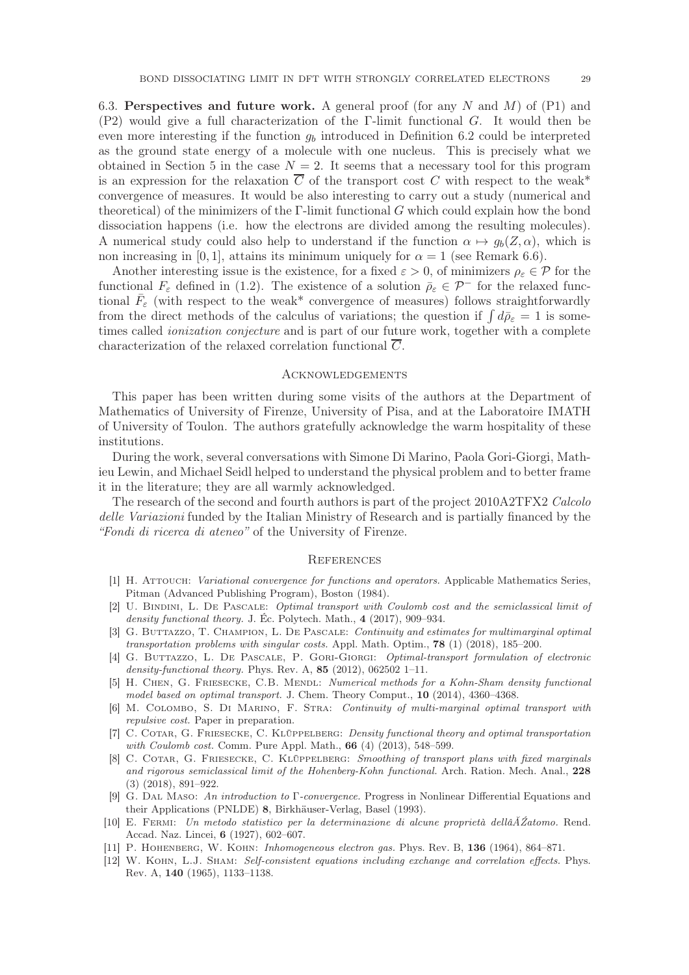6.3. Perspectives and future work. A general proof (for any N and M) of  $(P1)$  and (P2) would give a full characterization of the Γ-limit functional G. It would then be even more interesting if the function  $g_b$  introduced in Definition 6.2 could be interpreted as the ground state energy of a molecule with one nucleus. This is precisely what we obtained in Section 5 in the case  $N = 2$ . It seems that a necessary tool for this program is an expression for the relaxation  $\overline{C}$  of the transport cost C with respect to the weak<sup>\*</sup> convergence of measures. It would be also interesting to carry out a study (numerical and theoretical) of the minimizers of the  $\Gamma$ -limit functional G which could explain how the bond dissociation happens (i.e. how the electrons are divided among the resulting molecules). A numerical study could also help to understand if the function  $\alpha \mapsto g_b(Z, \alpha)$ , which is non increasing in [0, 1], attains its minimum uniquely for  $\alpha = 1$  (see Remark 6.6).

Another interesting issue is the existence, for a fixed  $\varepsilon > 0$ , of minimizers  $\rho_{\varepsilon} \in \mathcal{P}$  for the functional  $F_{\varepsilon}$  defined in (1.2). The existence of a solution  $\bar{\rho}_{\varepsilon} \in \mathcal{P}^-$  for the relaxed functional  $\bar{F}_{\varepsilon}$  (with respect to the weak\* convergence of measures) follows straightforwardly from the direct methods of the calculus of variations; the question if  $\int d\bar{\rho}_{\varepsilon} = 1$  is sometimes called *ionization conjecture* and is part of our future work, together with a complete characterization of the relaxed correlation functional C.

### Acknowledgements

This paper has been written during some visits of the authors at the Department of Mathematics of University of Firenze, University of Pisa, and at the Laboratoire IMATH of University of Toulon. The authors gratefully acknowledge the warm hospitality of these institutions.

During the work, several conversations with Simone Di Marino, Paola Gori-Giorgi, Mathieu Lewin, and Michael Seidl helped to understand the physical problem and to better frame it in the literature; they are all warmly acknowledged.

The research of the second and fourth authors is part of the project 2010A2TFX2 Calcolo delle Variazioni funded by the Italian Ministry of Research and is partially financed by the "Fondi di ricerca di ateneo" of the University of Firenze.

#### **REFERENCES**

- [1] H. Attouch: Variational convergence for functions and operators. Applicable Mathematics Series, Pitman (Advanced Publishing Program), Boston (1984).
- [2] U. Bindini, L. De Pascale: Optimal transport with Coulomb cost and the semiclassical limit of density functional theory. J. Éc. Polytech. Math., 4 (2017), 909–934.
- [3] G. BUTTAZZO, T. CHAMPION, L. DE PASCALE: Continuity and estimates for multimarginal optimal transportation problems with singular costs. Appl. Math. Optim., 78 (1) (2018), 185–200.
- [4] G. Buttazzo, L. De Pascale, P. Gori-Giorgi: Optimal-transport formulation of electronic density-functional theory. Phys. Rev. A,  $85$  (2012), 062502 1–11.
- [5] H. CHEN, G. FRIESECKE, C.B. MENDL: Numerical methods for a Kohn-Sham density functional model based on optimal transport. J. Chem. Theory Comput., 10 (2014), 4360–4368.
- [6] M. Colombo, S. Di Marino, F. Stra: Continuity of multi-marginal optimal transport with repulsive cost. Paper in preparation.
- [7] C. COTAR, G. FRIESECKE, C. KLÜPPELBERG: Density functional theory and optimal transportation with *Coulomb cost.* Comm. Pure Appl. Math., **66** (4) (2013), 548–599.
- [8] C. COTAR, G. FRIESECKE, C. KLÜPPELBERG: Smoothing of transport plans with fixed marginals and rigorous semiclassical limit of the Hohenberg-Kohn functional. Arch. Ration. Mech. Anal., 228 (3) (2018), 891–922.
- [9] G. Dal Maso: An introduction to Γ-convergence. Progress in Nonlinear Differential Equations and their Applications (PNLDE) 8, Birkhäuser-Verlag, Basel (1993).
- [10] E. Fermi: Un metodo statistico per la determinazione di alcune proprietà dellâĂŹatomo. Rend. Accad. Naz. Lincei, 6 (1927), 602–607.
- [11] P. Hohenberg, W. Kohn: Inhomogeneous electron gas. Phys. Rev. B, 136 (1964), 864–871.
- [12] W. Kohn, L.J. Sham: Self-consistent equations including exchange and correlation effects. Phys. Rev. A, 140 (1965), 1133–1138.